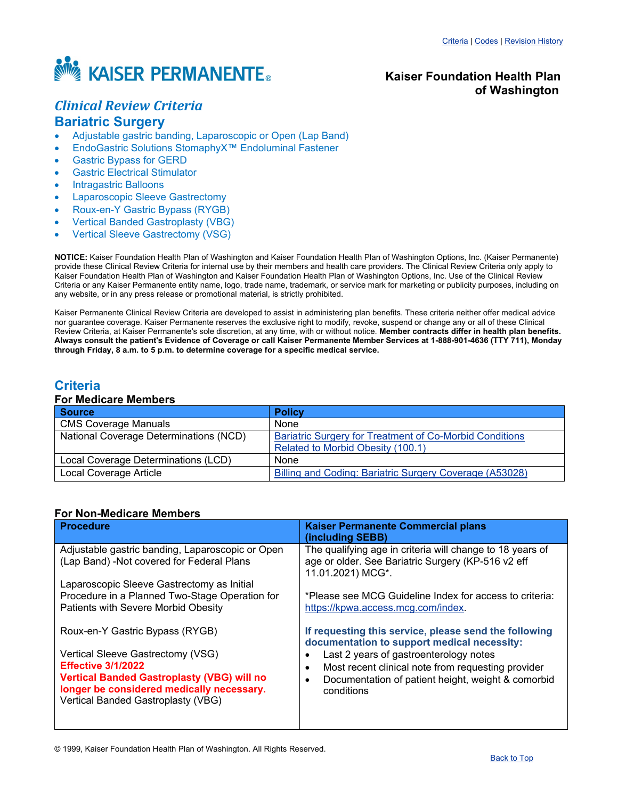<span id="page-0-1"></span>

# **Kaiser Foundation Health Plan of Washington**

# *Clinical Review Criteria* **Bariatric Surgery**

- Adjustable gastric banding, Laparoscopic or Open (Lap Band)
- EndoGastric Solutions StomaphyX™ Endoluminal Fastener
- Gastric Bypass for GERD
- **Gastric Electrical Stimulator**
- Intragastric Balloons
- Laparoscopic Sleeve Gastrectomy
- Roux-en-Y Gastric Bypass (RYGB)
- Vertical Banded Gastroplasty (VBG)
- Vertical Sleeve Gastrectomy (VSG)

**NOTICE:** Kaiser Foundation Health Plan of Washington and Kaiser Foundation Health Plan of Washington Options, Inc. (Kaiser Permanente) provide these Clinical Review Criteria for internal use by their members and health care providers. The Clinical Review Criteria only apply to Kaiser Foundation Health Plan of Washington and Kaiser Foundation Health Plan of Washington Options, Inc. Use of the Clinical Review Criteria or any Kaiser Permanente entity name, logo, trade name, trademark, or service mark for marketing or publicity purposes, including on any website, or in any press release or promotional material, is strictly prohibited.

Kaiser Permanente Clinical Review Criteria are developed to assist in administering plan benefits. These criteria neither offer medical advice nor guarantee coverage. Kaiser Permanente reserves the exclusive right to modify, revoke, suspend or change any or all of these Clinical Review Criteria, at Kaiser Permanente's sole discretion, at any time, with or without notice. **Member contracts differ in health plan benefits. Always consult the patient's Evidence of Coverage or call Kaiser Permanente Member Services at 1-888-901-4636 (TTY 711), Monday through Friday, 8 a.m. to 5 p.m. to determine coverage for a specific medical service.**

# <span id="page-0-0"></span>**Criteria**

# **For Medicare Members**

| <b>Source</b>                                 | <b>Policy</b>                                                  |
|-----------------------------------------------|----------------------------------------------------------------|
| <b>CMS Coverage Manuals</b>                   | None                                                           |
| <b>National Coverage Determinations (NCD)</b> | <b>Bariatric Surgery for Treatment of Co-Morbid Conditions</b> |
|                                               | Related to Morbid Obesity (100.1)                              |
| Local Coverage Determinations (LCD)           | None                                                           |
| Local Coverage Article                        | Billing and Coding: Bariatric Surgery Coverage (A53028)        |

## **For Non-Medicare Members**

| <b>Procedure</b>                                                                                                                                                                                                                          | <b>Kaiser Permanente Commercial plans</b><br>(including SEBB)                                                                                                                                                                                                            |
|-------------------------------------------------------------------------------------------------------------------------------------------------------------------------------------------------------------------------------------------|--------------------------------------------------------------------------------------------------------------------------------------------------------------------------------------------------------------------------------------------------------------------------|
| Adjustable gastric banding, Laparoscopic or Open<br>(Lap Band) - Not covered for Federal Plans                                                                                                                                            | The qualifying age in criteria will change to 18 years of<br>age or older. See Bariatric Surgery (KP-516 v2 eff<br>11.01.2021) MCG*.                                                                                                                                     |
| Laparoscopic Sleeve Gastrectomy as Initial<br>Procedure in a Planned Two-Stage Operation for<br>Patients with Severe Morbid Obesity                                                                                                       | *Please see MCG Guideline Index for access to criteria:<br>https://kpwa.access.mcg.com/index.                                                                                                                                                                            |
| Roux-en-Y Gastric Bypass (RYGB)<br>Vertical Sleeve Gastrectomy (VSG)<br><b>Effective 3/1/2022</b><br><b>Vertical Banded Gastroplasty (VBG) will no</b><br>longer be considered medically necessary.<br>Vertical Banded Gastroplasty (VBG) | If requesting this service, please send the following<br>documentation to support medical necessity:<br>Last 2 years of gastroenterology notes<br>Most recent clinical note from requesting provider<br>Documentation of patient height, weight & comorbid<br>conditions |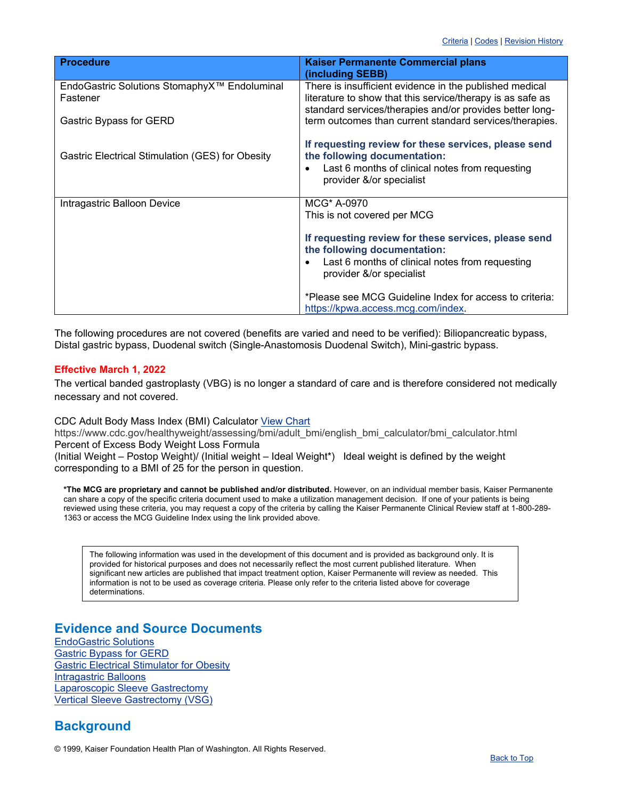| <b>Procedure</b>                                 | <b>Kaiser Permanente Commercial plans</b><br>(including SEBB)                                                                                                       |
|--------------------------------------------------|---------------------------------------------------------------------------------------------------------------------------------------------------------------------|
| EndoGastric Solutions StomaphyX™ Endoluminal     | There is insufficient evidence in the published medical                                                                                                             |
| Fastener                                         | literature to show that this service/therapy is as safe as                                                                                                          |
| Gastric Bypass for GERD                          | standard services/therapies and/or provides better long-<br>term outcomes than current standard services/therapies.                                                 |
| Gastric Electrical Stimulation (GES) for Obesity | If requesting review for these services, please send<br>the following documentation:                                                                                |
|                                                  | Last 6 months of clinical notes from requesting<br>provider &/or specialist                                                                                         |
| Intragastric Balloon Device                      | MCG* A-0970                                                                                                                                                         |
|                                                  | This is not covered per MCG                                                                                                                                         |
|                                                  | If requesting review for these services, please send<br>the following documentation:<br>Last 6 months of clinical notes from requesting<br>provider &/or specialist |
|                                                  | *Please see MCG Guideline Index for access to criteria:<br>https://kpwa.access.mcg.com/index.                                                                       |

The following procedures are not covered (benefits are varied and need to be verified): Biliopancreatic bypass, Distal gastric bypass, Duodenal switch (Single-Anastomosis Duodenal Switch), Mini-gastric bypass.

# **Effective March 1, 2022**

The vertical banded gastroplasty (VBG) is no longer a standard of care and is therefore considered not medically necessary and not covered.

CDC Adult Body Mass Index (BMI) Calculator [View Chart](https://www.cdc.gov/healthyweight/assessing/bmi/adult_bmi/english_bmi_calculator/bmi_calculator.html)

https://www.cdc.gov/healthyweight/assessing/bmi/adult\_bmi/english\_bmi\_calculator/bmi\_calculator.html Percent of Excess Body Weight Loss Formula

(Initial Weight – Postop Weight)/ (Initial weight – Ideal Weight\*) Ideal weight is defined by the weight corresponding to a BMI of 25 for the person in question.

**\*The MCG are proprietary and cannot be published and/or distributed.** However, on an individual member basis, Kaiser Permanente can share a copy of the specific criteria document used to make a utilization management decision. If one of your patients is being reviewed using these criteria, you may request a copy of the criteria by calling the Kaiser Permanente Clinical Review staff at 1-800-289- 1363 or access the MCG Guideline Index using the link provided above.

The following information was used in the development of this document and is provided as background only. It is provided for historical purposes and does not necessarily reflect the most current published literature. When significant new articles are published that impact treatment option, Kaiser Permanente will review as needed. This information is not to be used as coverage criteria. Please only refer to the criteria listed above for coverage determinations.

# **Evidence and Source Documents**

[EndoGastric](#page-5-0) Solutions [Gastric Bypass for GERD](#page-10-0) [Gastric Electrical Stimulator for Obesity](#page-9-0) [Intragastric Balloons](#page-13-0) [Laparoscopic Sleeve Gastrectomy](#page-9-1) [Vertical Sleeve Gastrectomy \(VSG\)](#page-6-0)

# **Background**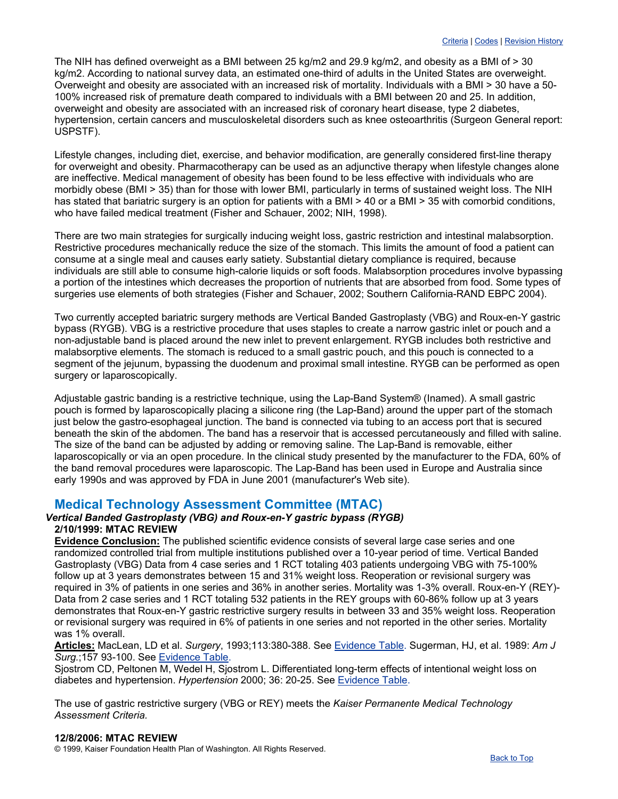The NIH has defined overweight as a BMI between 25 kg/m2 and 29.9 kg/m2, and obesity as a BMI of > 30 kg/m2. According to national survey data, an estimated one-third of adults in the United States are overweight. Overweight and obesity are associated with an increased risk of mortality. Individuals with a BMI > 30 have a 50- 100% increased risk of premature death compared to individuals with a BMI between 20 and 25. In addition, overweight and obesity are associated with an increased risk of coronary heart disease, type 2 diabetes, hypertension, certain cancers and musculoskeletal disorders such as knee osteoarthritis (Surgeon General report: USPSTF).

Lifestyle changes, including diet, exercise, and behavior modification, are generally considered first-line therapy for overweight and obesity. Pharmacotherapy can be used as an adjunctive therapy when lifestyle changes alone are ineffective. Medical management of obesity has been found to be less effective with individuals who are morbidly obese (BMI > 35) than for those with lower BMI, particularly in terms of sustained weight loss. The NIH has stated that bariatric surgery is an option for patients with a BMI > 40 or a BMI > 35 with comorbid conditions, who have failed medical treatment (Fisher and Schauer, 2002; NIH, 1998).

There are two main strategies for surgically inducing weight loss, gastric restriction and intestinal malabsorption. Restrictive procedures mechanically reduce the size of the stomach. This limits the amount of food a patient can consume at a single meal and causes early satiety. Substantial dietary compliance is required, because individuals are still able to consume high-calorie liquids or soft foods. Malabsorption procedures involve bypassing a portion of the intestines which decreases the proportion of nutrients that are absorbed from food. Some types of surgeries use elements of both strategies (Fisher and Schauer, 2002; Southern California-RAND EBPC 2004).

Two currently accepted bariatric surgery methods are Vertical Banded Gastroplasty (VBG) and Roux-en-Y gastric bypass (RYGB). VBG is a restrictive procedure that uses staples to create a narrow gastric inlet or pouch and a non-adjustable band is placed around the new inlet to prevent enlargement. RYGB includes both restrictive and malabsorptive elements. The stomach is reduced to a small gastric pouch, and this pouch is connected to a segment of the jejunum, bypassing the duodenum and proximal small intestine. RYGB can be performed as open surgery or laparoscopically.

Adjustable gastric banding is a restrictive technique, using the Lap-Band System® (Inamed). A small gastric pouch is formed by laparoscopically placing a silicone ring (the Lap-Band) around the upper part of the stomach just below the gastro-esophageal junction. The band is connected via tubing to an access port that is secured beneath the skin of the abdomen. The band has a reservoir that is accessed percutaneously and filled with saline. The size of the band can be adjusted by adding or removing saline. The Lap-Band is removable, either laparoscopically or via an open procedure. In the clinical study presented by the manufacturer to the FDA, 60% of the band removal procedures were laparoscopic. The Lap-Band has been used in Europe and Australia since early 1990s and was approved by FDA in June 2001 (manufacturer's Web site).

# **Medical Technology Assessment Committee (MTAC)**

## *Vertical Banded Gastroplasty (VBG) and Roux-en-Y gastric bypass (RYGB)* **2/10/1999: MTAC REVIEW**

**Evidence Conclusion:** The published scientific evidence consists of several large case series and one randomized controlled trial from multiple institutions published over a 10-year period of time. Vertical Banded Gastroplasty (VBG) Data from 4 case series and 1 RCT totaling 403 patients undergoing VBG with 75-100% follow up at 3 years demonstrates between 15 and 31% weight loss. Reoperation or revisional surgery was required in 3% of patients in one series and 36% in another series. Mortality was 1-3% overall. Roux-en-Y (REY)- Data from 2 case series and 1 RCT totaling 532 patients in the REY groups with 60-86% follow up at 3 years demonstrates that Roux-en-Y gastric restrictive surgery results in between 33 and 35% weight loss. Reoperation or revisional surgery was required in 6% of patients in one series and not reported in the other series. Mortality was 1% overall.

**Articles:** MacLean, LD et al. *Surgery*, 1993;113:380-388. See [Evidence Table.](http://www.ghc.org/public/hosting/clinical/criteria/pdf/bari1.pdf) Sugerman, HJ, et al. 1989: *Am J Surg.*;157 93-100. See [Evidence Table.](http://www.ghc.org/public/hosting/clinical/criteria/pdf/bari1.pdf)

Sjostrom CD, Peltonen M, Wedel H, Sjostrom L. Differentiated long-term effects of intentional weight loss on diabetes and hypertension. *Hypertension* 2000; 36: 20-25. See [Evidence Table.](http://www.ghc.org/public/hosting/clinical/criteria/pdf/bari2.pdf)

The use of gastric restrictive surgery (VBG or REY) meets the *Kaiser Permanente Medical Technology Assessment Criteria.*

# **12/8/2006: MTAC REVIEW**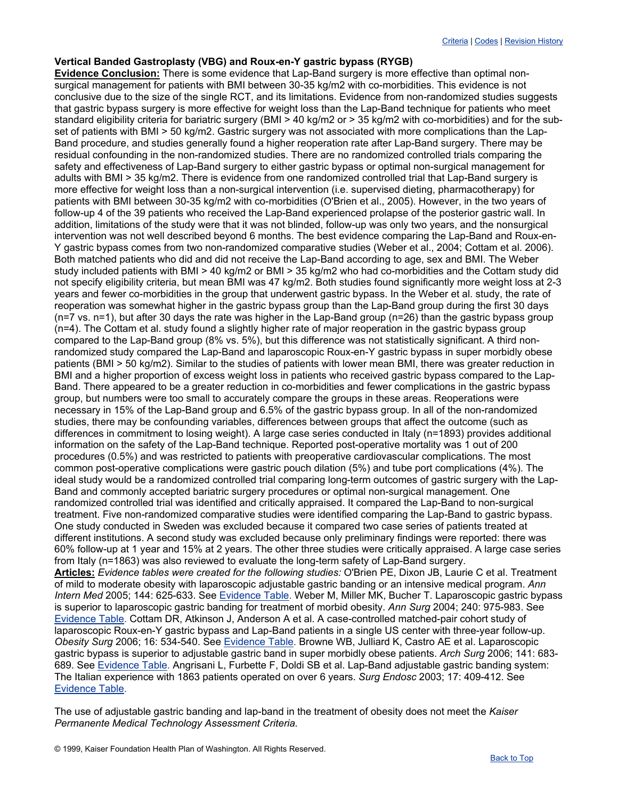#### **Vertical Banded Gastroplasty (VBG) and Roux-en-Y gastric bypass (RYGB)**

**Evidence Conclusion:** There is some evidence that Lap-Band surgery is more effective than optimal nonsurgical management for patients with BMI between 30-35 kg/m2 with co-morbidities. This evidence is not conclusive due to the size of the single RCT, and its limitations. Evidence from non-randomized studies suggests that gastric bypass surgery is more effective for weight loss than the Lap-Band technique for patients who meet standard eligibility criteria for bariatric surgery (BMI > 40 kg/m2 or > 35 kg/m2 with co-morbidities) and for the subset of patients with BMI > 50 kg/m2. Gastric surgery was not associated with more complications than the Lap-Band procedure, and studies generally found a higher reoperation rate after Lap-Band surgery. There may be residual confounding in the non-randomized studies. There are no randomized controlled trials comparing the safety and effectiveness of Lap-Band surgery to either gastric bypass or optimal non-surgical management for adults with BMI > 35 kg/m2. There is evidence from one randomized controlled trial that Lap-Band surgery is more effective for weight loss than a non-surgical intervention (i.e. supervised dieting, pharmacotherapy) for patients with BMI between 30-35 kg/m2 with co-morbidities (O'Brien et al., 2005). However, in the two years of follow-up 4 of the 39 patients who received the Lap-Band experienced prolapse of the posterior gastric wall. In addition, limitations of the study were that it was not blinded, follow-up was only two years, and the nonsurgical intervention was not well described beyond 6 months. The best evidence comparing the Lap-Band and Roux-en-Y gastric bypass comes from two non-randomized comparative studies (Weber et al., 2004; Cottam et al. 2006). Both matched patients who did and did not receive the Lap-Band according to age, sex and BMI. The Weber study included patients with BMI > 40 kg/m2 or BMI > 35 kg/m2 who had co-morbidities and the Cottam study did not specify eligibility criteria, but mean BMI was 47 kg/m2. Both studies found significantly more weight loss at 2-3 years and fewer co-morbidities in the group that underwent gastric bypass. In the Weber et al. study, the rate of reoperation was somewhat higher in the gastric bypass group than the Lap-Band group during the first 30 days (n=7 vs. n=1), but after 30 days the rate was higher in the Lap-Band group (n=26) than the gastric bypass group (n=4). The Cottam et al. study found a slightly higher rate of major reoperation in the gastric bypass group compared to the Lap-Band group (8% vs. 5%), but this difference was not statistically significant. A third nonrandomized study compared the Lap-Band and laparoscopic Roux-en-Y gastric bypass in super morbidly obese patients (BMI > 50 kg/m2). Similar to the studies of patients with lower mean BMI, there was greater reduction in BMI and a higher proportion of excess weight loss in patients who received gastric bypass compared to the Lap-Band. There appeared to be a greater reduction in co-morbidities and fewer complications in the gastric bypass group, but numbers were too small to accurately compare the groups in these areas. Reoperations were necessary in 15% of the Lap-Band group and 6.5% of the gastric bypass group. In all of the non-randomized studies, there may be confounding variables, differences between groups that affect the outcome (such as differences in commitment to losing weight). A large case series conducted in Italy (n=1893) provides additional information on the safety of the Lap-Band technique. Reported post-operative mortality was 1 out of 200 procedures (0.5%) and was restricted to patients with preoperative cardiovascular complications. The most common post-operative complications were gastric pouch dilation (5%) and tube port complications (4%). The ideal study would be a randomized controlled trial comparing long-term outcomes of gastric surgery with the Lap-Band and commonly accepted bariatric surgery procedures or optimal non-surgical management. One randomized controlled trial was identified and critically appraised. It compared the Lap-Band to non-surgical treatment. Five non-randomized comparative studies were identified comparing the Lap-Band to gastric bypass. One study conducted in Sweden was excluded because it compared two case series of patients treated at different institutions. A second study was excluded because only preliminary findings were reported: there was 60% follow-up at 1 year and 15% at 2 years. The other three studies were critically appraised. A large case series from Italy (n=1863) was also reviewed to evaluate the long-term safety of Lap-Band surgery. **Articles:** *Evidence tables were created for the following studies:* O'Brien PE, Dixon JB, Laurie C et al. Treatment of mild to moderate obesity with laparoscopic adjustable gastric banding or an intensive medical program. *Ann Intern Med* 2005; 144: 625-633. See [Evidence Table.](http://www.ghc.org/public/hosting/clinical/criteria/pdf/bari3.pdf) Weber M, Miller MK, Bucher T. Laparoscopic gastric bypass is superior to laparoscopic gastric banding for treatment of morbid obesity. *Ann Surg* 2004; 240: 975-983. See [Evidence Table.](http://www.ghc.org/public/hosting/clinical/criteria/pdf/bari4.pdf) Cottam DR, Atkinson J, Anderson A et al. A case-controlled matched-pair cohort study of laparoscopic Roux-en-Y gastric bypass and Lap-Band patients in a single US center with three-year follow-up. *Obesity Surg* 2006; 16: 534-540. See [Evidence Table.](http://www.ghc.org/public/hosting/clinical/criteria/pdf/bari5.pdf) Browne WB, Julliard K, Castro AE et al. Laparoscopic gastric bypass is superior to adjustable gastric band in super morbidly obese patients. *Arch Surg* 2006; 141: 683- 689. See [Evidence Table.](http://www.ghc.org/public/hosting/clinical/criteria/pdf/bari6.pdf) Angrisani L, Furbette F, Doldi SB et al. Lap-Band adjustable gastric banding system: The Italian experience with 1863 patients operated on over 6 years. *Surg Endosc* 2003; 17: 409-412. See [Evidence Table.](http://www.ghc.org/public/hosting/clinical/criteria/pdf/bari7.pdf)

The use of adjustable gastric banding and lap-band in the treatment of obesity does not meet the *Kaiser Permanente Medical Technology Assessment Criteria.*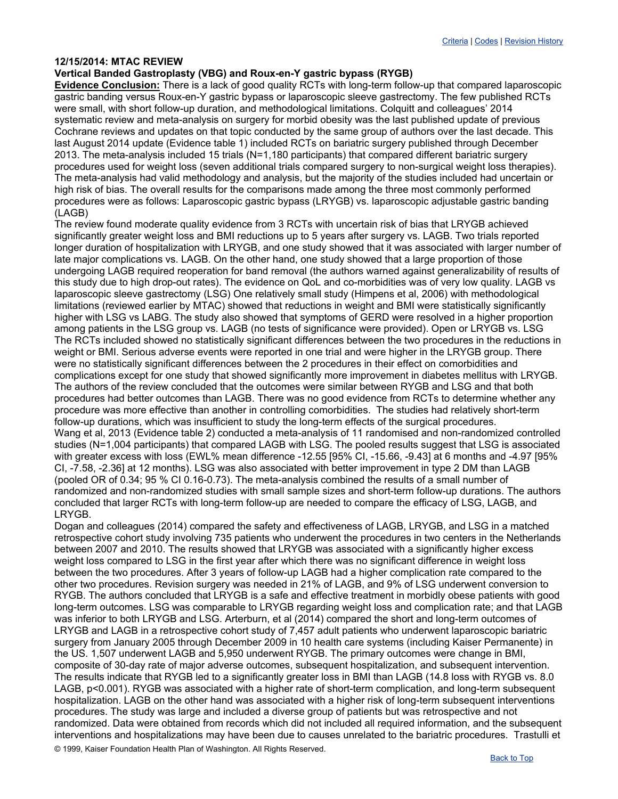## **12/15/2014: MTAC REVIEW**

# **Vertical Banded Gastroplasty (VBG) and Roux-en-Y gastric bypass (RYGB)**

**Evidence Conclusion:** There is a lack of good quality RCTs with long-term follow-up that compared laparoscopic gastric banding versus Roux-en-Y gastric bypass or laparoscopic sleeve gastrectomy. The few published RCTs were small, with short follow-up duration, and methodological limitations. Colquitt and colleagues' 2014 systematic review and meta-analysis on surgery for morbid obesity was the last published update of previous Cochrane reviews and updates on that topic conducted by the same group of authors over the last decade. This last August 2014 update (Evidence table 1) included RCTs on bariatric surgery published through December 2013. The meta-analysis included 15 trials (N=1,180 participants) that compared different bariatric surgery procedures used for weight loss (seven additional trials compared surgery to non-surgical weight loss therapies). The meta-analysis had valid methodology and analysis, but the majority of the studies included had uncertain or high risk of bias. The overall results for the comparisons made among the three most commonly performed procedures were as follows: Laparoscopic gastric bypass (LRYGB) vs. laparoscopic adjustable gastric banding (LAGB)

The review found moderate quality evidence from 3 RCTs with uncertain risk of bias that LRYGB achieved significantly greater weight loss and BMI reductions up to 5 years after surgery vs. LAGB. Two trials reported longer duration of hospitalization with LRYGB, and one study showed that it was associated with larger number of late major complications vs. LAGB. On the other hand, one study showed that a large proportion of those undergoing LAGB required reoperation for band removal (the authors warned against generalizability of results of this study due to high drop-out rates). The evidence on QoL and co-morbidities was of very low quality. LAGB vs laparoscopic sleeve gastrectomy (LSG) One relatively small study (Himpens et al, 2006) with methodological limitations (reviewed earlier by MTAC) showed that reductions in weight and BMI were statistically significantly higher with LSG vs LABG. The study also showed that symptoms of GERD were resolved in a higher proportion among patients in the LSG group vs. LAGB (no tests of significance were provided). Open or LRYGB vs. LSG The RCTs included showed no statistically significant differences between the two procedures in the reductions in weight or BMI. Serious adverse events were reported in one trial and were higher in the LRYGB group. There were no statistically significant differences between the 2 procedures in their effect on comorbidities and complications except for one study that showed significantly more improvement in diabetes mellitus with LRYGB. The authors of the review concluded that the outcomes were similar between RYGB and LSG and that both procedures had better outcomes than LAGB. There was no good evidence from RCTs to determine whether any procedure was more effective than another in controlling comorbidities. The studies had relatively short-term follow-up durations, which was insufficient to study the long-term effects of the surgical procedures. Wang et al, 2013 (Evidence table 2) conducted a meta-analysis of 11 randomised and non-randomized controlled studies (N=1,004 participants) that compared LAGB with LSG. The pooled results suggest that LSG is associated with greater excess with loss (EWL% mean difference -12.55 [95% CI, -15.66, -9.43] at 6 months and -4.97 [95% CI, -7.58, -2.36] at 12 months). LSG was also associated with better improvement in type 2 DM than LAGB (pooled OR of 0.34; 95 % CI 0.16-0.73). The meta-analysis combined the results of a small number of randomized and non-randomized studies with small sample sizes and short-term follow-up durations. The authors concluded that larger RCTs with long-term follow-up are needed to compare the efficacy of LSG, LAGB, and LRYGB.

© 1999, Kaiser Foundation Health Plan of Washington. All Rights Reserved. Dogan and colleagues (2014) compared the safety and effectiveness of LAGB, LRYGB, and LSG in a matched retrospective cohort study involving 735 patients who underwent the procedures in two centers in the Netherlands between 2007 and 2010. The results showed that LRYGB was associated with a significantly higher excess weight loss compared to LSG in the first year after which there was no significant difference in weight loss between the two procedures. After 3 years of follow-up LAGB had a higher complication rate compared to the other two procedures. Revision surgery was needed in 21% of LAGB, and 9% of LSG underwent conversion to RYGB. The authors concluded that LRYGB is a safe and effective treatment in morbidly obese patients with good long-term outcomes. LSG was comparable to LRYGB regarding weight loss and complication rate; and that LAGB was inferior to both LRYGB and LSG. Arterburn, et al (2014) compared the short and long-term outcomes of LRYGB and LAGB in a retrospective cohort study of 7,457 adult patients who underwent laparoscopic bariatric surgery from January 2005 through December 2009 in 10 health care systems (including Kaiser Permanente) in the US. 1,507 underwent LAGB and 5,950 underwent RYGB. The primary outcomes were change in BMI, composite of 30-day rate of major adverse outcomes, subsequent hospitalization, and subsequent intervention. The results indicate that RYGB led to a significantly greater loss in BMI than LAGB (14.8 loss with RYGB vs. 8.0 LAGB, p<0.001). RYGB was associated with a higher rate of short-term complication, and long-term subsequent hospitalization. LAGB on the other hand was associated with a higher risk of long-term subsequent interventions procedures. The study was large and included a diverse group of patients but was retrospective and not randomized. Data were obtained from records which did not included all required information, and the subsequent interventions and hospitalizations may have been due to causes unrelated to the bariatric procedures. Trastulli et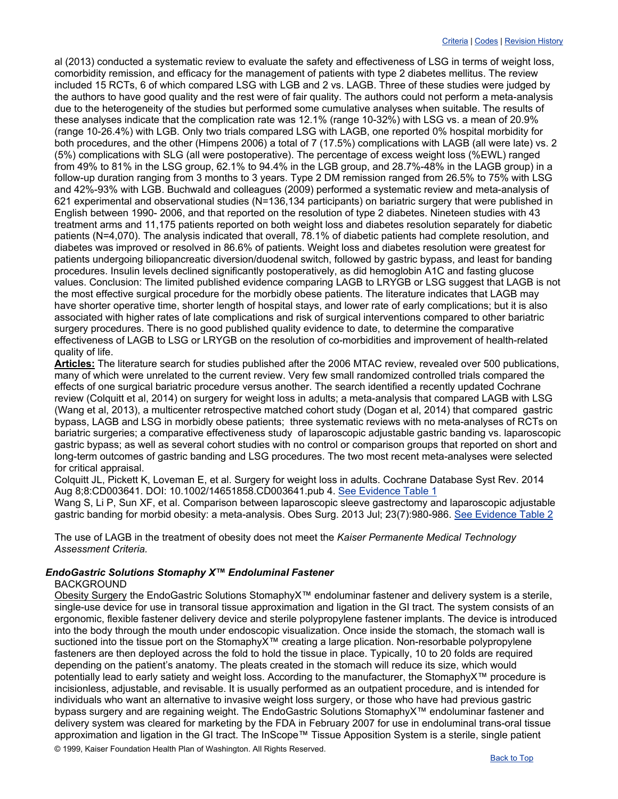al (2013) conducted a systematic review to evaluate the safety and effectiveness of LSG in terms of weight loss, comorbidity remission, and efficacy for the management of patients with type 2 diabetes mellitus. The review included 15 RCTs, 6 of which compared LSG with LGB and 2 vs. LAGB. Three of these studies were judged by the authors to have good quality and the rest were of fair quality. The authors could not perform a meta-analysis due to the heterogeneity of the studies but performed some cumulative analyses when suitable. The results of these analyses indicate that the complication rate was 12.1% (range 10-32%) with LSG vs. a mean of 20.9% (range 10-26.4%) with LGB. Only two trials compared LSG with LAGB, one reported 0% hospital morbidity for both procedures, and the other (Himpens 2006) a total of 7 (17.5%) complications with LAGB (all were late) vs. 2 (5%) complications with SLG (all were postoperative). The percentage of excess weight loss (%EWL) ranged from 49% to 81% in the LSG group, 62.1% to 94.4% in the LGB group, and 28.7%-48% in the LAGB group) in a follow-up duration ranging from 3 months to 3 years. Type 2 DM remission ranged from 26.5% to 75% with LSG and 42%-93% with LGB. Buchwald and colleagues (2009) performed a systematic review and meta-analysis of 621 experimental and observational studies (N=136,134 participants) on bariatric surgery that were published in English between 1990- 2006, and that reported on the resolution of type 2 diabetes. Nineteen studies with 43 treatment arms and 11,175 patients reported on both weight loss and diabetes resolution separately for diabetic patients (N=4,070). The analysis indicated that overall, 78.1% of diabetic patients had complete resolution, and diabetes was improved or resolved in 86.6% of patients. Weight loss and diabetes resolution were greatest for patients undergoing biliopancreatic diversion/duodenal switch, followed by gastric bypass, and least for banding procedures. Insulin levels declined significantly postoperatively, as did hemoglobin A1C and fasting glucose values. Conclusion: The limited published evidence comparing LAGB to LRYGB or LSG suggest that LAGB is not the most effective surgical procedure for the morbidly obese patients. The literature indicates that LAGB may have shorter operative time, shorter length of hospital stays, and lower rate of early complications; but it is also associated with higher rates of late complications and risk of surgical interventions compared to other bariatric surgery procedures. There is no good published quality evidence to date, to determine the comparative effectiveness of LAGB to LSG or LRYGB on the resolution of co-morbidities and improvement of health-related quality of life.

**Articles:** The literature search for studies published after the 2006 MTAC review, revealed over 500 publications, many of which were unrelated to the current review. Very few small randomized controlled trials compared the effects of one surgical bariatric procedure versus another. The search identified a recently updated Cochrane review (Colquitt et al, 2014) on surgery for weight loss in adults; a meta-analysis that compared LAGB with LSG (Wang et al, 2013), a multicenter retrospective matched cohort study (Dogan et al, 2014) that compared gastric bypass, LAGB and LSG in morbidly obese patients; three systematic reviews with no meta-analyses of RCTs on bariatric surgeries; a comparative effectiveness study of laparoscopic adjustable gastric banding vs. laparoscopic gastric bypass; as well as several cohort studies with no control or comparison groups that reported on short and long-term outcomes of gastric banding and LSG procedures. The two most recent meta-analyses were selected for critical appraisal.

Colquitt JL, Pickett K, Loveman E, et al. Surgery for weight loss in adults. Cochrane Database Syst Rev. 2014 Aug 8;8:CD003641. DOI: 10.1002/14651858.CD003641.pub 4. [See Evidence Table 1](http://www.ghc.org/public/hosting/clinical/criteria/pdf/lapband_1.pdf)

Wang S, Li P, Sun XF, et al. Comparison between laparoscopic sleeve gastrectomy and laparoscopic adjustable gastric banding for morbid obesity: a meta-analysis. Obes Surg. 2013 Jul; 23(7):980-986. [See Evidence Table 2](http://www.ghc.org/public/hosting/clinical/criteria/pdf/lapband_2.pdf)

The use of LAGB in the treatment of obesity does not meet the *Kaiser Permanente Medical Technology Assessment Criteria.*

# <span id="page-5-0"></span>*EndoGastric Solutions Stomaphy X™ Endoluminal Fastener*

## BACKGROUND

© 1999, Kaiser Foundation Health Plan of Washington. All Rights Reserved. Obesity Surgery the EndoGastric Solutions StomaphyX™ endoluminar fastener and delivery system is a sterile, single-use device for use in transoral tissue approximation and ligation in the GI tract. The system consists of an ergonomic, flexible fastener delivery device and sterile polypropylene fastener implants. The device is introduced into the body through the mouth under endoscopic visualization. Once inside the stomach, the stomach wall is suctioned into the tissue port on the StomaphyX<sup>™</sup> creating a large plication. Non-resorbable polypropylene fasteners are then deployed across the fold to hold the tissue in place. Typically, 10 to 20 folds are required depending on the patient's anatomy. The pleats created in the stomach will reduce its size, which would potentially lead to early satiety and weight loss. According to the manufacturer, the StomaphyX™ procedure is incisionless, adjustable, and revisable. It is usually performed as an outpatient procedure, and is intended for individuals who want an alternative to invasive weight loss surgery, or those who have had previous gastric bypass surgery and are regaining weight. The EndoGastric Solutions StomaphyX™ endoluminar fastener and delivery system was cleared for marketing by the FDA in February 2007 for use in endoluminal trans-oral tissue approximation and ligation in the GI tract. The InScope™ Tissue Apposition System is a sterile, single patient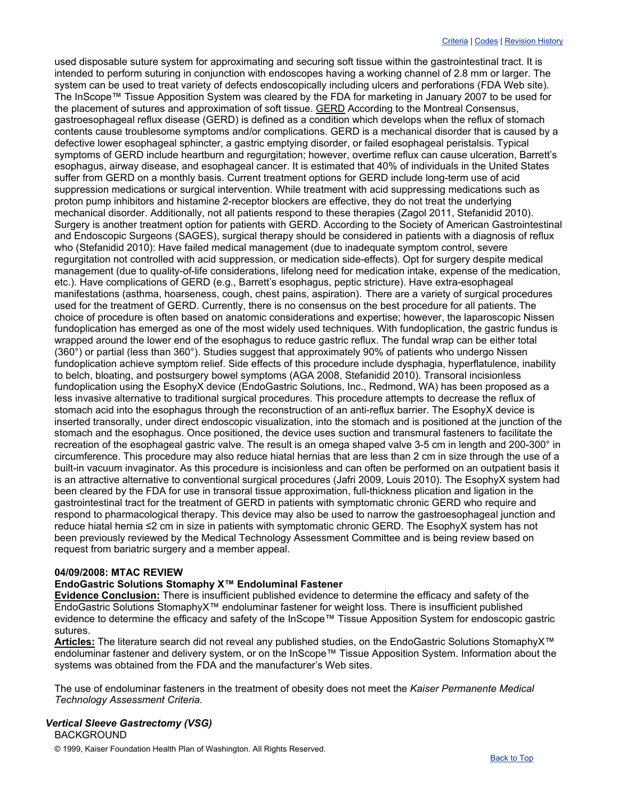used disposable suture system for approximating and securing soft tissue within the gastrointestinal tract. It is intended to perform suturing in conjunction with endoscopes having a working channel of 2.8 mm or larger. The system can be used to treat variety of defects endoscopically including ulcers and perforations (FDA Web site). The InScope™ Tissue Apposition System was cleared by the FDA for marketing in January 2007 to be used for the placement of sutures and approximation of soft tissue. GERD According to the Montreal Consensus, gastroesophageal reflux disease (GERD) is defined as a condition which develops when the reflux of stomach contents cause troublesome symptoms and/or complications. GERD is a mechanical disorder that is caused by a defective lower esophageal sphincter, a gastric emptying disorder, or failed esophageal peristalsis. Typical symptoms of GERD include heartburn and regurgitation; however, overtime reflux can cause ulceration, Barrett's esophagus, airway disease, and esophageal cancer. It is estimated that 40% of individuals in the United States suffer from GERD on a monthly basis. Current treatment options for GERD include long-term use of acid suppression medications or surgical intervention. While treatment with acid suppressing medications such as proton pump inhibitors and histamine 2-receptor blockers are effective, they do not treat the underlying mechanical disorder. Additionally, not all patients respond to these therapies (Zagol 2011, Stefanidid 2010). Surgery is another treatment option for patients with GERD. According to the Society of American Gastrointestinal and Endoscopic Surgeons (SAGES), surgical therapy should be considered in patients with a diagnosis of reflux who (Stefanidid 2010): Have failed medical management (due to inadequate symptom control, severe regurgitation not controlled with acid suppression, or medication side-effects). Opt for surgery despite medical management (due to quality-of-life considerations, lifelong need for medication intake, expense of the medication, etc.). Have complications of GERD (e.g., Barrett's esophagus, peptic stricture). Have extra-esophageal manifestations (asthma, hoarseness, cough, chest pains, aspiration). There are a variety of surgical procedures used for the treatment of GERD. Currently, there is no consensus on the best procedure for all patients. The choice of procedure is often based on anatomic considerations and expertise; however, the laparoscopic Nissen fundoplication has emerged as one of the most widely used techniques. With fundoplication, the gastric fundus is wrapped around the lower end of the esophagus to reduce gastric reflux. The fundal wrap can be either total (360°) or partial (less than 360°). Studies suggest that approximately 90% of patients who undergo Nissen fundoplication achieve symptom relief. Side effects of this procedure include dysphagia, hyperflatulence, inability to belch, bloating, and postsurgery bowel symptoms (AGA 2008, Stefanidid 2010). Transoral incisionless fundoplication using the EsophyX device (EndoGastric Solutions, Inc., Redmond, WA) has been proposed as a less invasive alternative to traditional surgical procedures. This procedure attempts to decrease the reflux of stomach acid into the esophagus through the reconstruction of an anti-reflux barrier. The EsophyX device is inserted transorally, under direct endoscopic visualization, into the stomach and is positioned at the junction of the stomach and the esophagus. Once positioned, the device uses suction and transmural fasteners to facilitate the recreation of the esophageal gastric valve. The result is an omega shaped valve 3-5 cm in length and 200-300° in circumference. This procedure may also reduce hiatal hernias that are less than 2 cm in size through the use of a built-in vacuum invaginator. As this procedure is incisionless and can often be performed on an outpatient basis it is an attractive alternative to conventional surgical procedures (Jafri 2009, Louis 2010). The EsophyX system had been cleared by the FDA for use in transoral tissue approximation, full-thickness plication and ligation in the gastrointestinal tract for the treatment of GERD in patients with symptomatic chronic GERD who require and respond to pharmacological therapy. This device may also be used to narrow the gastroesophageal junction and reduce hiatal hernia ≤2 cm in size in patients with symptomatic chronic GERD. The EsophyX system has not been previously reviewed by the Medical Technology Assessment Committee and is being review based on request from bariatric surgery and a member appeal.

## **04/09/2008: MTAC REVIEW**

## **EndoGastric Solutions Stomaphy X™ Endoluminal Fastener**

**Evidence Conclusion:** There is insufficient published evidence to determine the efficacy and safety of the EndoGastric Solutions StomaphyX™ endoluminar fastener for weight loss. There is insufficient published evidence to determine the efficacy and safety of the InScope™ Tissue Apposition System for endoscopic gastric sutures.

**Articles:** The literature search did not reveal any published studies, on the EndoGastric Solutions StomaphyX™ endoluminar fastener and delivery system, or on the InScope™ Tissue Apposition System. Information about the systems was obtained from the FDA and the manufacturer's Web sites.

The use of endoluminar fasteners in the treatment of obesity does not meet the *Kaiser Permanente Medical Technology Assessment Criteria.*

#### <span id="page-6-0"></span>*Vertical Sleeve Gastrectomy (VSG)* BACKGROUND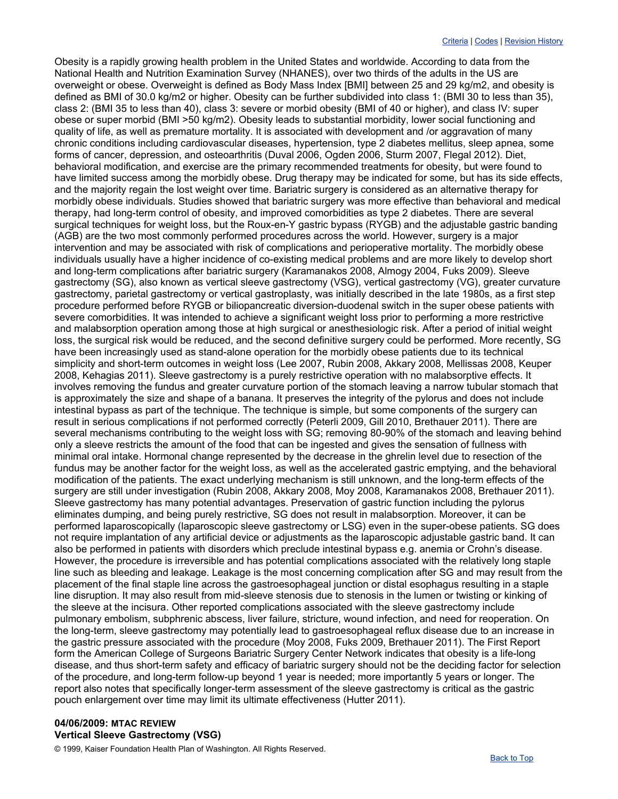Obesity is a rapidly growing health problem in the United States and worldwide. According to data from the National Health and Nutrition Examination Survey (NHANES), over two thirds of the adults in the US are overweight or obese. Overweight is defined as Body Mass Index [BMI] between 25 and 29 kg/m2, and obesity is defined as BMI of 30.0 kg/m2 or higher. Obesity can be further subdivided into class 1: (BMI 30 to less than 35), class 2: (BMI 35 to less than 40), class 3: severe or morbid obesity (BMI of 40 or higher), and class IV: super obese or super morbid (BMI >50 kg/m2). Obesity leads to substantial morbidity, lower social functioning and quality of life, as well as premature mortality. It is associated with development and /or aggravation of many chronic conditions including cardiovascular diseases, hypertension, type 2 diabetes mellitus, sleep apnea, some forms of cancer, depression, and osteoarthritis (Duval 2006, Ogden 2006, Sturm 2007, Flegal 2012). Diet, behavioral modification, and exercise are the primary recommended treatments for obesity, but were found to have limited success among the morbidly obese. Drug therapy may be indicated for some, but has its side effects, and the majority regain the lost weight over time. Bariatric surgery is considered as an alternative therapy for morbidly obese individuals. Studies showed that bariatric surgery was more effective than behavioral and medical therapy, had long-term control of obesity, and improved comorbidities as type 2 diabetes. There are several surgical techniques for weight loss, but the Roux-en-Y gastric bypass (RYGB) and the adjustable gastric banding (AGB) are the two most commonly performed procedures across the world. However, surgery is a major intervention and may be associated with risk of complications and perioperative mortality. The morbidly obese individuals usually have a higher incidence of co-existing medical problems and are more likely to develop short and long-term complications after bariatric surgery (Karamanakos 2008, Almogy 2004, Fuks 2009). Sleeve gastrectomy (SG), also known as vertical sleeve gastrectomy (VSG), vertical gastrectomy (VG), greater curvature gastrectomy, parietal gastrectomy or vertical gastroplasty, was initially described in the late 1980s, as a first step procedure performed before RYGB or biliopancreatic diversion-duodenal switch in the super obese patients with severe comorbidities. It was intended to achieve a significant weight loss prior to performing a more restrictive and malabsorption operation among those at high surgical or anesthesiologic risk. After a period of initial weight loss, the surgical risk would be reduced, and the second definitive surgery could be performed. More recently, SG have been increasingly used as stand-alone operation for the morbidly obese patients due to its technical simplicity and short-term outcomes in weight loss (Lee 2007, Rubin 2008, Akkary 2008, Mellissas 2008, Keuper 2008, Kehagias 2011). Sleeve gastrectomy is a purely restrictive operation with no malabsorptive effects. It involves removing the fundus and greater curvature portion of the stomach leaving a narrow tubular stomach that is approximately the size and shape of a banana. It preserves the integrity of the pylorus and does not include intestinal bypass as part of the technique. The technique is simple, but some components of the surgery can result in serious complications if not performed correctly (Peterli 2009, Gill 2010, Brethauer 2011). There are several mechanisms contributing to the weight loss with SG; removing 80-90% of the stomach and leaving behind only a sleeve restricts the amount of the food that can be ingested and gives the sensation of fullness with minimal oral intake. Hormonal change represented by the decrease in the ghrelin level due to resection of the fundus may be another factor for the weight loss, as well as the accelerated gastric emptying, and the behavioral modification of the patients. The exact underlying mechanism is still unknown, and the long-term effects of the surgery are still under investigation (Rubin 2008, Akkary 2008, Moy 2008, Karamanakos 2008, Brethauer 2011). Sleeve gastrectomy has many potential advantages. Preservation of gastric function including the pylorus eliminates dumping, and being purely restrictive, SG does not result in malabsorption. Moreover, it can be performed laparoscopically (laparoscopic sleeve gastrectomy or LSG) even in the super-obese patients. SG does not require implantation of any artificial device or adjustments as the laparoscopic adjustable gastric band. It can also be performed in patients with disorders which preclude intestinal bypass e.g. anemia or Crohn's disease. However, the procedure is irreversible and has potential complications associated with the relatively long staple line such as bleeding and leakage. Leakage is the most concerning complication after SG and may result from the placement of the final staple line across the gastroesophageal junction or distal esophagus resulting in a staple line disruption. It may also result from mid-sleeve stenosis due to stenosis in the lumen or twisting or kinking of the sleeve at the incisura. Other reported complications associated with the sleeve gastrectomy include pulmonary embolism, subphrenic abscess, liver failure, stricture, wound infection, and need for reoperation. On the long-term, sleeve gastrectomy may potentially lead to gastroesophageal reflux disease due to an increase in the gastric pressure associated with the procedure (Moy 2008, Fuks 2009, Brethauer 2011). The First Report form the American College of Surgeons Bariatric Surgery Center Network indicates that obesity is a life-long disease, and thus short-term safety and efficacy of bariatric surgery should not be the deciding factor for selection of the procedure, and long-term follow-up beyond 1 year is needed; more importantly 5 years or longer. The report also notes that specifically longer-term assessment of the sleeve gastrectomy is critical as the gastric pouch enlargement over time may limit its ultimate effectiveness (Hutter 2011).

# **04/06/2009: MTAC REVIEW Vertical Sleeve Gastrectomy (VSG)**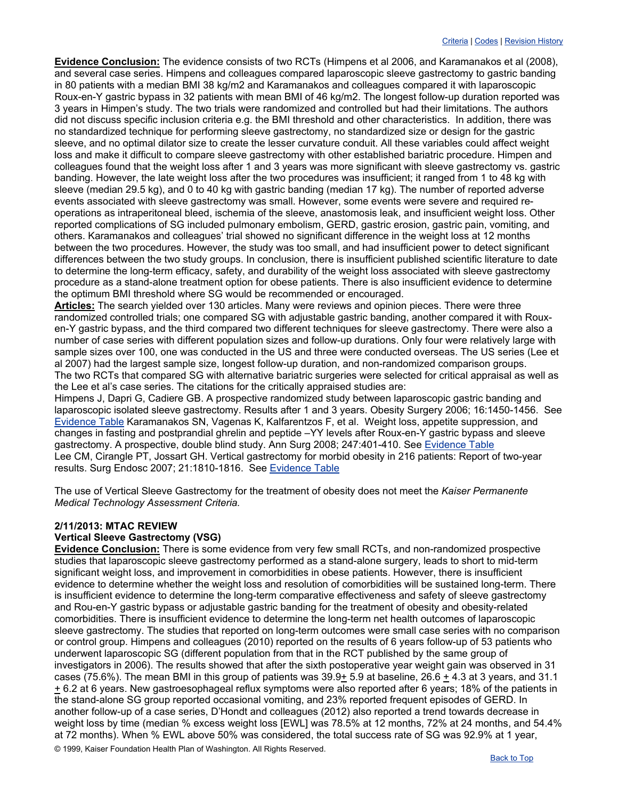**Evidence Conclusion:** The evidence consists of two RCTs (Himpens et al 2006, and Karamanakos et al (2008), and several case series. Himpens and colleagues compared laparoscopic sleeve gastrectomy to gastric banding in 80 patients with a median BMI 38 kg/m2 and Karamanakos and colleagues compared it with laparoscopic Roux-en-Y gastric bypass in 32 patients with mean BMI of 46 kg/m2. The longest follow-up duration reported was 3 years in Himpen's study. The two trials were randomized and controlled but had their limitations. The authors did not discuss specific inclusion criteria e.g. the BMI threshold and other characteristics. In addition, there was no standardized technique for performing sleeve gastrectomy, no standardized size or design for the gastric sleeve, and no optimal dilator size to create the lesser curvature conduit. All these variables could affect weight loss and make it difficult to compare sleeve gastrectomy with other established bariatric procedure. Himpen and colleagues found that the weight loss after 1 and 3 years was more significant with sleeve gastrectomy vs. gastric banding. However, the late weight loss after the two procedures was insufficient; it ranged from 1 to 48 kg with sleeve (median 29.5 kg), and 0 to 40 kg with gastric banding (median 17 kg). The number of reported adverse events associated with sleeve gastrectomy was small. However, some events were severe and required reoperations as intraperitoneal bleed, ischemia of the sleeve, anastomosis leak, and insufficient weight loss. Other reported complications of SG included pulmonary embolism, GERD, gastric erosion, gastric pain, vomiting, and others. Karamanakos and colleagues' trial showed no significant difference in the weight loss at 12 months between the two procedures. However, the study was too small, and had insufficient power to detect significant differences between the two study groups. In conclusion, there is insufficient published scientific literature to date to determine the long-term efficacy, safety, and durability of the weight loss associated with sleeve gastrectomy procedure as a stand-alone treatment option for obese patients. There is also insufficient evidence to determine the optimum BMI threshold where SG would be recommended or encouraged.

**Articles:** The search yielded over 130 articles. Many were reviews and opinion pieces. There were three randomized controlled trials; one compared SG with adjustable gastric banding, another compared it with Rouxen-Y gastric bypass, and the third compared two different techniques for sleeve gastrectomy. There were also a number of case series with different population sizes and follow-up durations. Only four were relatively large with sample sizes over 100, one was conducted in the US and three were conducted overseas. The US series (Lee et al 2007) had the largest sample size, longest follow-up duration, and non-randomized comparison groups. The two RCTs that compared SG with alternative bariatric surgeries were selected for critical appraisal as well as the Lee et al's case series. The citations for the critically appraised studies are:

Himpens J, Dapri G, Cadiere GB. A prospective randomized study between laparoscopic gastric banding and laparoscopic isolated sleeve gastrectomy. Results after 1 and 3 years. Obesity Surgery 2006; 16:1450-1456. See [Evidence Table](http://www.ghc.org/public/hosting/clinical/criteria/pdf/vsg1.pdf) Karamanakos SN, Vagenas K, Kalfarentzos F, et al. Weight loss, appetite suppression, and changes in fasting and postprandial ghrelin and peptide –YY levels after Roux-en-Y gastric bypass and sleeve gastrectomy. A prospective, double blind study. Ann Surg 2008; 247:401-410. See [Evidence Table](http://www.ghc.org/public/hosting/clinical/criteria/pdf/vsg2.pdf) Lee CM, Cirangle PT, Jossart GH. Vertical gastrectomy for morbid obesity in 216 patients: Report of two-year results. Surg Endosc 2007; 21:1810-1816. See [Evidence Table](http://www.ghc.org/public/hosting/clinical/criteria/pdf/vsg3.pdf)

The use of Vertical Sleeve Gastrectomy for the treatment of obesity does not meet the *Kaiser Permanente Medical Technology Assessment Criteria.*

#### **2/11/2013: MTAC REVIEW Vertical Sleeve Gastrectomy (VSG)**

© 1999, Kaiser Foundation Health Plan of Washington. All Rights Reserved. **Evidence Conclusion:** There is some evidence from very few small RCTs, and non-randomized prospective studies that laparoscopic sleeve gastrectomy performed as a stand-alone surgery, leads to short to mid-term significant weight loss, and improvement in comorbidities in obese patients. However, there is insufficient evidence to determine whether the weight loss and resolution of comorbidities will be sustained long-term. There is insufficient evidence to determine the long-term comparative effectiveness and safety of sleeve gastrectomy and Rou-en-Y gastric bypass or adjustable gastric banding for the treatment of obesity and obesity-related comorbidities. There is insufficient evidence to determine the long-term net health outcomes of laparoscopic sleeve gastrectomy. The studies that reported on long-term outcomes were small case series with no comparison or control group. Himpens and colleagues (2010) reported on the results of 6 years follow-up of 53 patients who underwent laparoscopic SG (different population from that in the RCT published by the same group of investigators in 2006). The results showed that after the sixth postoperative year weight gain was observed in 31 cases (75.6%). The mean BMI in this group of patients was 39.9+ 5.9 at baseline, 26.6 + 4.3 at 3 years, and 31.1 + 6.2 at 6 years. New gastroesophageal reflux symptoms were also reported after 6 years; 18% of the patients in the stand-alone SG group reported occasional vomiting, and 23% reported frequent episodes of GERD. In another follow-up of a case series, D'Hondt and colleagues (2012) also reported a trend towards decrease in weight loss by time (median % excess weight loss [EWL] was 78.5% at 12 months, 72% at 24 months, and 54.4% at 72 months). When % EWL above 50% was considered, the total success rate of SG was 92.9% at 1 year,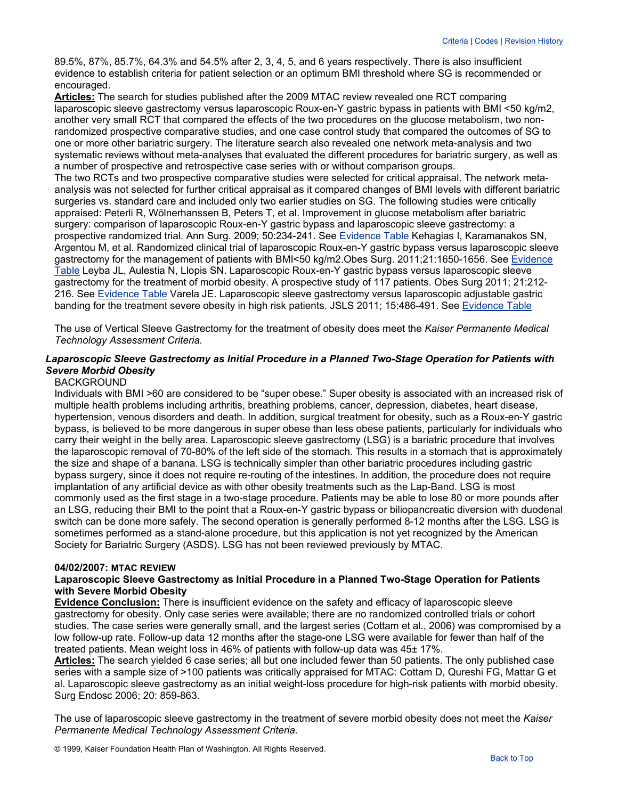89.5%, 87%, 85.7%, 64.3% and 54.5% after 2, 3, 4, 5, and 6 years respectively. There is also insufficient evidence to establish criteria for patient selection or an optimum BMI threshold where SG is recommended or encouraged.

**Articles:** The search for studies published after the 2009 MTAC review revealed one RCT comparing laparoscopic sleeve gastrectomy versus laparoscopic Roux-en-Y gastric bypass in patients with BMI <50 kg/m2, another very small RCT that compared the effects of the two procedures on the glucose metabolism, two nonrandomized prospective comparative studies, and one case control study that compared the outcomes of SG to one or more other bariatric surgery. The literature search also revealed one network meta-analysis and two systematic reviews without meta-analyses that evaluated the different procedures for bariatric surgery, as well as a number of prospective and retrospective case series with or without comparison groups.

The two RCTs and two prospective comparative studies were selected for critical appraisal. The network metaanalysis was not selected for further critical appraisal as it compared changes of BMI levels with different bariatric surgeries vs. standard care and included only two earlier studies on SG. The following studies were critically appraised: Peterli R, Wölnerhanssen B, Peters T, et al. Improvement in glucose metabolism after bariatric surgery: comparison of laparoscopic Roux-en-Y gastric bypass and laparoscopic sleeve gastrectomy: a prospective randomized trial. Ann Surg. 2009; 50:234-241. See [Evidence Table](http://www.ghc.org/public/hosting/clinical/criteria/pdf/sleeve5.pdf) Kehagias I, Karamanakos SN, Argentou M, et al. Randomized clinical trial of laparoscopic Roux-en-Y gastric bypass versus laparoscopic sleeve gastrectomy for the management of patients with BMI<50 kg/m2.Obes Surg. 2011;21:1650-1656. See Evidence [Table](http://www.ghc.org/public/hosting/clinical/criteria/pdf/sleeve4.pdf) Leyba JL, Aulestia N, Llopis SN. Laparoscopic Roux-en-Y gastric bypass versus laparoscopic sleeve gastrectomy for the treatment of morbid obesity. A prospective study of 117 patients. Obes Surg 2011; 21:212- 216. See [Evidence Table](http://www.ghc.org/public/hosting/clinical/criteria/pdf/sleeve6.pdf) Varela JE. Laparoscopic sleeve gastrectomy versus laparoscopic adjustable gastric banding for the treatment severe obesity in high risk patients. JSLS 2011; 15:486-491. See [Evidence Table](http://www.ghc.org/public/hosting/clinical/criteria/pdf/sleeve7.pdf)

The use of Vertical Sleeve Gastrectomy for the treatment of obesity does meet the *Kaiser Permanente Medical Technology Assessment Criteria.*

## <span id="page-9-1"></span>*Laparoscopic Sleeve Gastrectomy as Initial Procedure in a Planned Two-Stage Operation for Patients with Severe Morbid Obesity*

#### BACKGROUND

Individuals with BMI >60 are considered to be "super obese." Super obesity is associated with an increased risk of multiple health problems including arthritis, breathing problems, cancer, depression, diabetes, heart disease, hypertension, venous disorders and death. In addition, surgical treatment for obesity, such as a Roux-en-Y gastric bypass, is believed to be more dangerous in super obese than less obese patients, particularly for individuals who carry their weight in the belly area. Laparoscopic sleeve gastrectomy (LSG) is a bariatric procedure that involves the laparoscopic removal of 70-80% of the left side of the stomach. This results in a stomach that is approximately the size and shape of a banana. LSG is technically simpler than other bariatric procedures including gastric bypass surgery, since it does not require re-routing of the intestines. In addition, the procedure does not require implantation of any artificial device as with other obesity treatments such as the Lap-Band. LSG is most commonly used as the first stage in a two-stage procedure. Patients may be able to lose 80 or more pounds after an LSG, reducing their BMI to the point that a Roux-en-Y gastric bypass or biliopancreatic diversion with duodenal switch can be done more safely. The second operation is generally performed 8-12 months after the LSG. LSG is sometimes performed as a stand-alone procedure, but this application is not yet recognized by the American Society for Bariatric Surgery (ASDS). LSG has not been reviewed previously by MTAC.

#### **04/02/2007: MTAC REVIEW**

#### **Laparoscopic Sleeve Gastrectomy as Initial Procedure in a Planned Two-Stage Operation for Patients with Severe Morbid Obesity**

**Evidence Conclusion:** There is insufficient evidence on the safety and efficacy of laparoscopic sleeve gastrectomy for obesity. Only case series were available; there are no randomized controlled trials or cohort studies. The case series were generally small, and the largest series (Cottam et al., 2006) was compromised by a low follow-up rate. Follow-up data 12 months after the stage-one LSG were available for fewer than half of the treated patients. Mean weight loss in 46% of patients with follow-up data was 45± 17%.

**Articles:** The search yielded 6 case series; all but one included fewer than 50 patients. The only published case series with a sample size of >100 patients was critically appraised for MTAC: Cottam D, Qureshi FG, Mattar G et al. Laparoscopic sleeve gastrectomy as an initial weight-loss procedure for high-risk patients with morbid obesity. Surg Endosc 2006; 20: 859-863.

<span id="page-9-0"></span>The use of laparoscopic sleeve gastrectomy in the treatment of severe morbid obesity does not meet the *Kaiser Permanente Medical Technology Assessment Criteria.*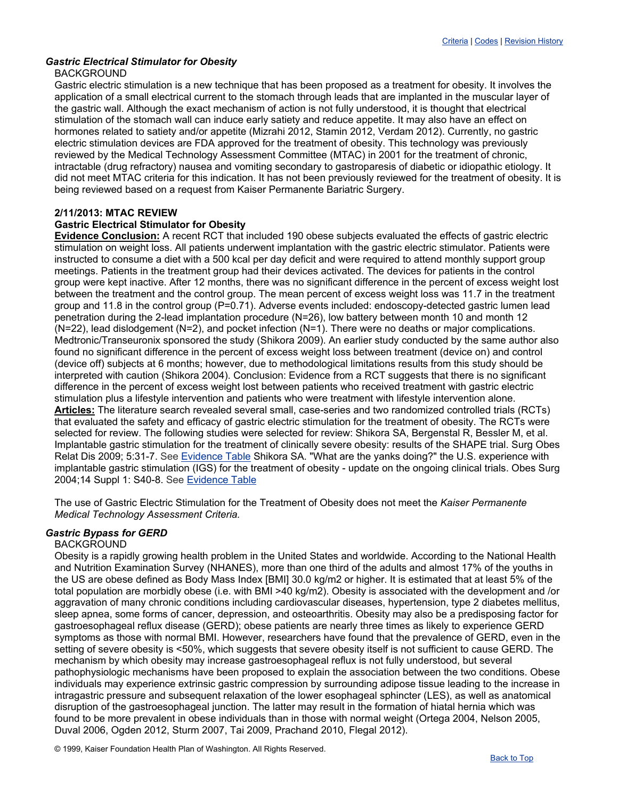# *Gastric Electrical Stimulator for Obesity*

## BACKGROUND

Gastric electric stimulation is a new technique that has been proposed as a treatment for obesity. It involves the application of a small electrical current to the stomach through leads that are implanted in the muscular layer of the gastric wall. Although the exact mechanism of action is not fully understood, it is thought that electrical stimulation of the stomach wall can induce early satiety and reduce appetite. It may also have an effect on hormones related to satiety and/or appetite (Mizrahi 2012, Stamin 2012, Verdam 2012). Currently, no gastric electric stimulation devices are FDA approved for the treatment of obesity. This technology was previously reviewed by the Medical Technology Assessment Committee (MTAC) in 2001 for the treatment of chronic, intractable (drug refractory) nausea and vomiting secondary to gastroparesis of diabetic or idiopathic etiology. It did not meet MTAC criteria for this indication. It has not been previously reviewed for the treatment of obesity. It is being reviewed based on a request from Kaiser Permanente Bariatric Surgery.

# **2/11/2013: MTAC REVIEW**

## **Gastric Electrical Stimulator for Obesity**

**Evidence Conclusion:** A recent RCT that included 190 obese subjects evaluated the effects of gastric electric stimulation on weight loss. All patients underwent implantation with the gastric electric stimulator. Patients were instructed to consume a diet with a 500 kcal per day deficit and were required to attend monthly support group meetings. Patients in the treatment group had their devices activated. The devices for patients in the control group were kept inactive. After 12 months, there was no significant difference in the percent of excess weight lost between the treatment and the control group. The mean percent of excess weight loss was 11.7 in the treatment group and 11.8 in the control group (P=0.71). Adverse events included: endoscopy-detected gastric lumen lead penetration during the 2-lead implantation procedure (N=26), low battery between month 10 and month 12 (N=22), lead dislodgement (N=2), and pocket infection (N=1). There were no deaths or major complications. Medtronic/Transeuronix sponsored the study (Shikora 2009). An earlier study conducted by the same author also found no significant difference in the percent of excess weight loss between treatment (device on) and control (device off) subjects at 6 months; however, due to methodological limitations results from this study should be interpreted with caution (Shikora 2004). Conclusion: Evidence from a RCT suggests that there is no significant difference in the percent of excess weight lost between patients who received treatment with gastric electric stimulation plus a lifestyle intervention and patients who were treatment with lifestyle intervention alone. **Articles:** The literature search revealed several small, case-series and two randomized controlled trials (RCTs) that evaluated the safety and efficacy of gastric electric stimulation for the treatment of obesity. The RCTs were selected for review. The following studies were selected for review: Shikora SA, Bergenstal R, Bessler M, et al. Implantable gastric stimulation for the treatment of clinically severe obesity: results of the SHAPE trial. Surg Obes Relat Dis 2009; 5:31-7. See [Evidence Table](http://www.ghc.org/public/hosting/clinical/criteria/pdf/ges_bari1.pdf) Shikora SA. "What are the yanks doing?" the U.S. experience with implantable gastric stimulation (IGS) for the treatment of obesity - update on the ongoing clinical trials. Obes Surg 2004;14 Suppl 1: S40-8. See [Evidence Table](http://www.ghc.org/public/hosting/clinical/criteria/pdf/ges_bari2.pdf)

The use of Gastric Electric Stimulation for the Treatment of Obesity does not meet the *Kaiser Permanente Medical Technology Assessment Criteria.*

# <span id="page-10-0"></span>*Gastric Bypass for GERD*

# **BACKGROUND**

Obesity is a rapidly growing health problem in the United States and worldwide. According to the National Health and Nutrition Examination Survey (NHANES), more than one third of the adults and almost 17% of the youths in the US are obese defined as Body Mass Index [BMI] 30.0 kg/m2 or higher. It is estimated that at least 5% of the total population are morbidly obese (i.e. with BMI >40 kg/m2). Obesity is associated with the development and /or aggravation of many chronic conditions including cardiovascular diseases, hypertension, type 2 diabetes mellitus, sleep apnea, some forms of cancer, depression, and osteoarthritis. Obesity may also be a predisposing factor for gastroesophageal reflux disease (GERD); obese patients are nearly three times as likely to experience GERD symptoms as those with normal BMI. However, researchers have found that the prevalence of GERD, even in the setting of severe obesity is <50%, which suggests that severe obesity itself is not sufficient to cause GERD. The mechanism by which obesity may increase gastroesophageal reflux is not fully understood, but several pathophysiologic mechanisms have been proposed to explain the association between the two conditions. Obese individuals may experience extrinsic gastric compression by surrounding adipose tissue leading to the increase in intragastric pressure and subsequent relaxation of the lower esophageal sphincter (LES), as well as anatomical disruption of the gastroesophageal junction. The latter may result in the formation of hiatal hernia which was found to be more prevalent in obese individuals than in those with normal weight (Ortega 2004, Nelson 2005, Duval 2006, Ogden 2012, Sturm 2007, Tai 2009, Prachand 2010, Flegal 2012).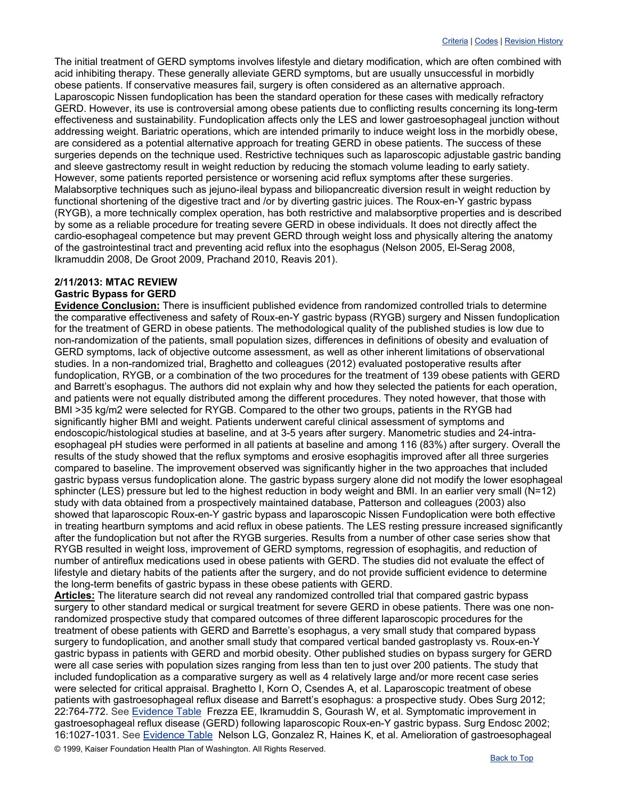The initial treatment of GERD symptoms involves lifestyle and dietary modification, which are often combined with acid inhibiting therapy. These generally alleviate GERD symptoms, but are usually unsuccessful in morbidly obese patients. If conservative measures fail, surgery is often considered as an alternative approach. Laparoscopic Nissen fundoplication has been the standard operation for these cases with medically refractory GERD. However, its use is controversial among obese patients due to conflicting results concerning its long-term effectiveness and sustainability. Fundoplication affects only the LES and lower gastroesophageal junction without addressing weight. Bariatric operations, which are intended primarily to induce weight loss in the morbidly obese, are considered as a potential alternative approach for treating GERD in obese patients. The success of these surgeries depends on the technique used. Restrictive techniques such as laparoscopic adjustable gastric banding and sleeve gastrectomy result in weight reduction by reducing the stomach volume leading to early satiety. However, some patients reported persistence or worsening acid reflux symptoms after these surgeries. Malabsorptive techniques such as jejuno-ileal bypass and biliopancreatic diversion result in weight reduction by functional shortening of the digestive tract and /or by diverting gastric juices. The Roux-en-Y gastric bypass (RYGB), a more technically complex operation, has both restrictive and malabsorptive properties and is described by some as a reliable procedure for treating severe GERD in obese individuals. It does not directly affect the cardio-esophageal competence but may prevent GERD through weight loss and physically altering the anatomy of the gastrointestinal tract and preventing acid reflux into the esophagus (Nelson 2005, El-Serag 2008, Ikramuddin 2008, De Groot 2009, Prachand 2010, Reavis 201).

## **2/11/2013: MTAC REVIEW Gastric Bypass for GERD**

**Evidence Conclusion:** There is insufficient published evidence from randomized controlled trials to determine the comparative effectiveness and safety of Roux-en-Y gastric bypass (RYGB) surgery and Nissen fundoplication for the treatment of GERD in obese patients. The methodological quality of the published studies is low due to non-randomization of the patients, small population sizes, differences in definitions of obesity and evaluation of GERD symptoms, lack of objective outcome assessment, as well as other inherent limitations of observational studies. In a non-randomized trial, Braghetto and colleagues (2012) evaluated postoperative results after fundoplication, RYGB, or a combination of the two procedures for the treatment of 139 obese patients with GERD and Barrett's esophagus. The authors did not explain why and how they selected the patients for each operation, and patients were not equally distributed among the different procedures. They noted however, that those with BMI >35 kg/m2 were selected for RYGB. Compared to the other two groups, patients in the RYGB had significantly higher BMI and weight. Patients underwent careful clinical assessment of symptoms and endoscopic/histological studies at baseline, and at 3-5 years after surgery. Manometric studies and 24-intraesophageal pH studies were performed in all patients at baseline and among 116 (83%) after surgery. Overall the results of the study showed that the reflux symptoms and erosive esophagitis improved after all three surgeries compared to baseline. The improvement observed was significantly higher in the two approaches that included gastric bypass versus fundoplication alone. The gastric bypass surgery alone did not modify the lower esophageal sphincter (LES) pressure but led to the highest reduction in body weight and BMI. In an earlier very small (N=12) study with data obtained from a prospectively maintained database, Patterson and colleagues (2003) also showed that laparoscopic Roux-en-Y gastric bypass and laparoscopic Nissen Fundoplication were both effective in treating heartburn symptoms and acid reflux in obese patients. The LES resting pressure increased significantly after the fundoplication but not after the RYGB surgeries. Results from a number of other case series show that RYGB resulted in weight loss, improvement of GERD symptoms, regression of esophagitis, and reduction of number of antireflux medications used in obese patients with GERD. The studies did not evaluate the effect of lifestyle and dietary habits of the patients after the surgery, and do not provide sufficient evidence to determine the long-term benefits of gastric bypass in these obese patients with GERD.

© 1999, Kaiser Foundation Health Plan of Washington. All Rights Reserved. **Articles:** The literature search did not reveal any randomized controlled trial that compared gastric bypass surgery to other standard medical or surgical treatment for severe GERD in obese patients. There was one nonrandomized prospective study that compared outcomes of three different laparoscopic procedures for the treatment of obese patients with GERD and Barrette's esophagus, a very small study that compared bypass surgery to fundoplication, and another small study that compared vertical banded gastroplasty vs. Roux-en-Y gastric bypass in patients with GERD and morbid obesity. Other published studies on bypass surgery for GERD were all case series with population sizes ranging from less than ten to just over 200 patients. The study that included fundoplication as a comparative surgery as well as 4 relatively large and/or more recent case series were selected for critical appraisal. Braghetto I, Korn O, Csendes A, et al. Laparoscopic treatment of obese patients with gastroesophageal reflux disease and Barrett's esophagus: a prospective study. Obes Surg 2012; 22:764-772. See [Evidence Table](http://www.ghc.org/public/hosting/clinical/criteria/pdf/gb_gerd1.pdf) Frezza EE, Ikramuddin S, Gourash W, et al. Symptomatic improvement in gastroesophageal reflux disease (GERD) following laparoscopic Roux-en-Y gastric bypass. Surg Endosc 2002; 16:1027-1031. See [Evidence Table](http://www.ghc.org/public/hosting/clinical/criteria/pdf/gb_gerd2.pdf) Nelson LG, Gonzalez R, Haines K, et al. Amelioration of gastroesophageal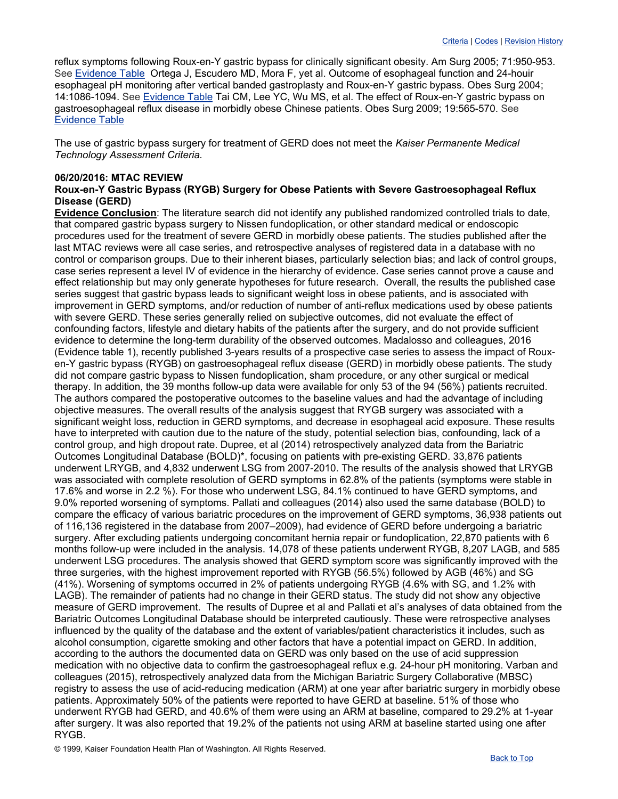reflux symptoms following Roux-en-Y gastric bypass for clinically significant obesity. Am Surg 2005; 71:950-953. See [Evidence Table](http://www.ghc.org/public/hosting/clinical/criteria/pdf/gb_gerd3.pdf) Ortega J, Escudero MD, Mora F, yet al. Outcome of esophageal function and 24-houir esophageal pH monitoring after vertical banded gastroplasty and Roux-en-Y gastric bypass. Obes Surg 2004; 14:1086-1094. See [Evidence Table](http://www.ghc.org/public/hosting/clinical/criteria/pdf/gb_gerd2.pdf) Tai CM, Lee YC, Wu MS, et al. The effect of Roux-en-Y gastric bypass on gastroesophageal reflux disease in morbidly obese Chinese patients. Obes Surg 2009; 19:565-570. See [Evidence Table](http://www.ghc.org/public/hosting/clinical/criteria/pdf/gb_gerd3.pdf)

The use of gastric bypass surgery for treatment of GERD does not meet the *Kaiser Permanente Medical Technology Assessment Criteria.*

#### **06/20/2016: MTAC REVIEW**

## **Roux-en-Y Gastric Bypass (RYGB) Surgery for Obese Patients with Severe Gastroesophageal Reflux Disease (GERD)**

**Evidence Conclusion**: The literature search did not identify any published randomized controlled trials to date, that compared gastric bypass surgery to Nissen fundoplication, or other standard medical or endoscopic procedures used for the treatment of severe GERD in morbidly obese patients. The studies published after the last MTAC reviews were all case series, and retrospective analyses of registered data in a database with no control or comparison groups. Due to their inherent biases, particularly selection bias; and lack of control groups, case series represent a level IV of evidence in the hierarchy of evidence. Case series cannot prove a cause and effect relationship but may only generate hypotheses for future research. Overall, the results the published case series suggest that gastric bypass leads to significant weight loss in obese patients, and is associated with improvement in GERD symptoms, and/or reduction of number of anti-reflux medications used by obese patients with severe GERD. These series generally relied on subjective outcomes, did not evaluate the effect of confounding factors, lifestyle and dietary habits of the patients after the surgery, and do not provide sufficient evidence to determine the long-term durability of the observed outcomes. Madalosso and colleagues, 2016 (Evidence table 1), recently published 3-years results of a prospective case series to assess the impact of Rouxen-Y gastric bypass (RYGB) on gastroesophageal reflux disease (GERD) in morbidly obese patients. The study did not compare gastric bypass to Nissen fundoplication, sham procedure, or any other surgical or medical therapy. In addition, the 39 months follow-up data were available for only 53 of the 94 (56%) patients recruited. The authors compared the postoperative outcomes to the baseline values and had the advantage of including objective measures. The overall results of the analysis suggest that RYGB surgery was associated with a significant weight loss, reduction in GERD symptoms, and decrease in esophageal acid exposure. These results have to interpreted with caution due to the nature of the study, potential selection bias, confounding, lack of a control group, and high dropout rate. Dupree, et al (2014) retrospectively analyzed data from the Bariatric Outcomes Longitudinal Database (BOLD)\*, focusing on patients with pre-existing GERD. 33,876 patients underwent LRYGB, and 4,832 underwent LSG from 2007-2010. The results of the analysis showed that LRYGB was associated with complete resolution of GERD symptoms in 62.8% of the patients (symptoms were stable in 17.6% and worse in 2.2 %). For those who underwent LSG, 84.1% continued to have GERD symptoms, and 9.0% reported worsening of symptoms. Pallati and colleagues (2014) also used the same database (BOLD) to compare the efficacy of various bariatric procedures on the improvement of GERD symptoms, 36,938 patients out of 116,136 registered in the database from 2007–2009), had evidence of GERD before undergoing a bariatric surgery. After excluding patients undergoing concomitant hernia repair or fundoplication, 22,870 patients with 6 months follow-up were included in the analysis. 14,078 of these patients underwent RYGB, 8,207 LAGB, and 585 underwent LSG procedures. The analysis showed that GERD symptom score was significantly improved with the three surgeries, with the highest improvement reported with RYGB (56.5%) followed by AGB (46%) and SG (41%). Worsening of symptoms occurred in 2% of patients undergoing RYGB (4.6% with SG, and 1.2% with LAGB). The remainder of patients had no change in their GERD status. The study did not show any objective measure of GERD improvement. The results of Dupree et al and Pallati et al's analyses of data obtained from the Bariatric Outcomes Longitudinal Database should be interpreted cautiously. These were retrospective analyses influenced by the quality of the database and the extent of variables/patient characteristics it includes, such as alcohol consumption, cigarette smoking and other factors that have a potential impact on GERD. In addition, according to the authors the documented data on GERD was only based on the use of acid suppression medication with no objective data to confirm the gastroesophageal reflux e.g. 24-hour pH monitoring. Varban and colleagues (2015), retrospectively analyzed data from the Michigan Bariatric Surgery Collaborative (MBSC) registry to assess the use of acid-reducing medication (ARM) at one year after bariatric surgery in morbidly obese patients. Approximately 50% of the patients were reported to have GERD at baseline. 51% of those who underwent RYGB had GERD, and 40.6% of them were using an ARM at baseline, compared to 29.2% at 1-year after surgery. It was also reported that 19.2% of the patients not using ARM at baseline started using one after RYGB.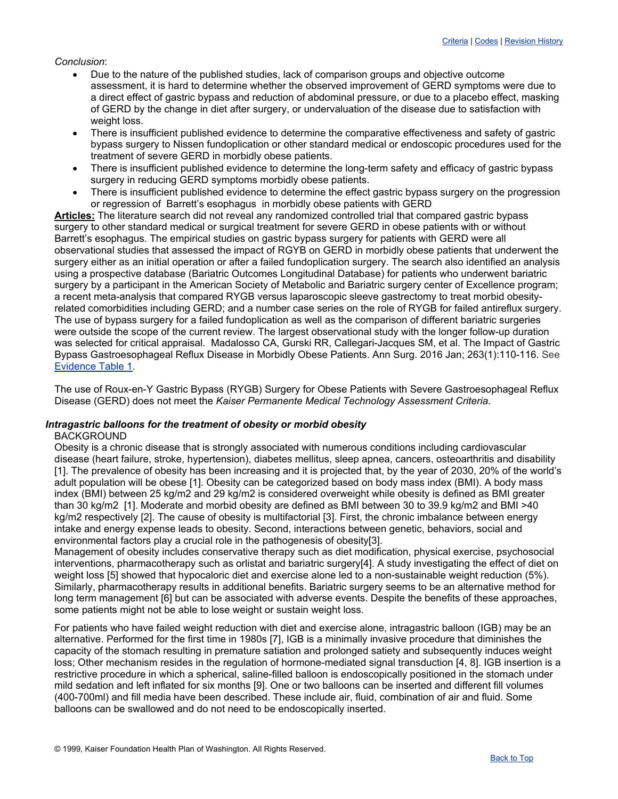#### *Conclusion*:

- Due to the nature of the published studies, lack of comparison groups and objective outcome assessment, it is hard to determine whether the observed improvement of GERD symptoms were due to a direct effect of gastric bypass and reduction of abdominal pressure, or due to a placebo effect, masking of GERD by the change in diet after surgery, or undervaluation of the disease due to satisfaction with weight loss.
- There is insufficient published evidence to determine the comparative effectiveness and safety of gastric bypass surgery to Nissen fundoplication or other standard medical or endoscopic procedures used for the treatment of severe GERD in morbidly obese patients.
- There is insufficient published evidence to determine the long-term safety and efficacy of gastric bypass surgery in reducing GERD symptoms morbidly obese patients.
- There is insufficient published evidence to determine the effect gastric bypass surgery on the progression or regression of Barrett's esophagus in morbidly obese patients with GERD

**Articles:** The literature search did not reveal any randomized controlled trial that compared gastric bypass surgery to other standard medical or surgical treatment for severe GERD in obese patients with or without Barrett's esophagus. The empirical studies on gastric bypass surgery for patients with GERD were all observational studies that assessed the impact of RGYB on GERD in morbidly obese patients that underwent the surgery either as an initial operation or after a failed fundoplication surgery. The search also identified an analysis using a prospective database (Bariatric Outcomes Longitudinal Database) for patients who underwent bariatric surgery by a participant in the American Society of Metabolic and Bariatric surgery center of Excellence program; a recent meta-analysis that compared RYGB versus laparoscopic sleeve gastrectomy to treat morbid obesityrelated comorbidities including GERD; and a number case series on the role of RYGB for failed antireflux surgery. The use of bypass surgery for a failed fundoplication as well as the comparison of different bariatric surgeries were outside the scope of the current review. The largest observational study with the longer follow-up duration was selected for critical appraisal. Madalosso CA, Gurski RR, Callegari-Jacques SM, et al. The Impact of Gastric Bypass Gastroesophageal Reflux Disease in Morbidly Obese Patients. Ann Surg. 2016 Jan; 263(1):110-116. See [Evidence Table 1.](http://www.ghc.org/public/hosting/clinical/criteria/pdf/gerd1.pdf)

The use of Roux-en-Y Gastric Bypass (RYGB) Surgery for Obese Patients with Severe Gastroesophageal Reflux Disease (GERD) does not meet the *Kaiser Permanente Medical Technology Assessment Criteria.*

## <span id="page-13-0"></span>*Intragastric balloons for the treatment of obesity or morbid obesity*

#### BACKGROUND

Obesity is a chronic disease that is strongly associated with numerous conditions including cardiovascular disease (heart failure, stroke, hypertension), diabetes mellitus, sleep apnea, cancers, osteoarthritis and disability [1]. The prevalence of obesity has been increasing and it is projected that, by the year of 2030, 20% of the world's adult population will be obese [1]. Obesity can be categorized based on body mass index (BMI). A body mass index (BMI) between 25 kg/m2 and 29 kg/m2 is considered overweight while obesity is defined as BMI greater than 30 kg/m2 [1]. Moderate and morbid obesity are defined as BMI between 30 to 39.9 kg/m2 and BMI >40 kg/m2 respectively [2]. The cause of obesity is multifactorial [3]. First, the chronic imbalance between energy intake and energy expense leads to obesity. Second, interactions between genetic, behaviors, social and environmental factors play a crucial role in the pathogenesis of obesity[3].

Management of obesity includes conservative therapy such as diet modification, physical exercise, psychosocial interventions, pharmacotherapy such as orlistat and bariatric surgery[4]. A study investigating the effect of diet on weight loss [5] showed that hypocaloric diet and exercise alone led to a non-sustainable weight reduction (5%). Similarly, pharmacotherapy results in additional benefits. Bariatric surgery seems to be an alternative method for long term management [6] but can be associated with adverse events. Despite the benefits of these approaches, some patients might not be able to lose weight or sustain weight loss.

For patients who have failed weight reduction with diet and exercise alone, intragastric balloon (IGB) may be an alternative. Performed for the first time in 1980s [7], IGB is a minimally invasive procedure that diminishes the capacity of the stomach resulting in premature satiation and prolonged satiety and subsequently induces weight loss; Other mechanism resides in the regulation of hormone-mediated signal transduction [4, 8]. IGB insertion is a restrictive procedure in which a spherical, saline-filled balloon is endoscopically positioned in the stomach under mild sedation and left inflated for six months [9]. One or two balloons can be inserted and different fill volumes (400-700ml) and fill media have been described. These include air, fluid, combination of air and fluid. Some balloons can be swallowed and do not need to be endoscopically inserted.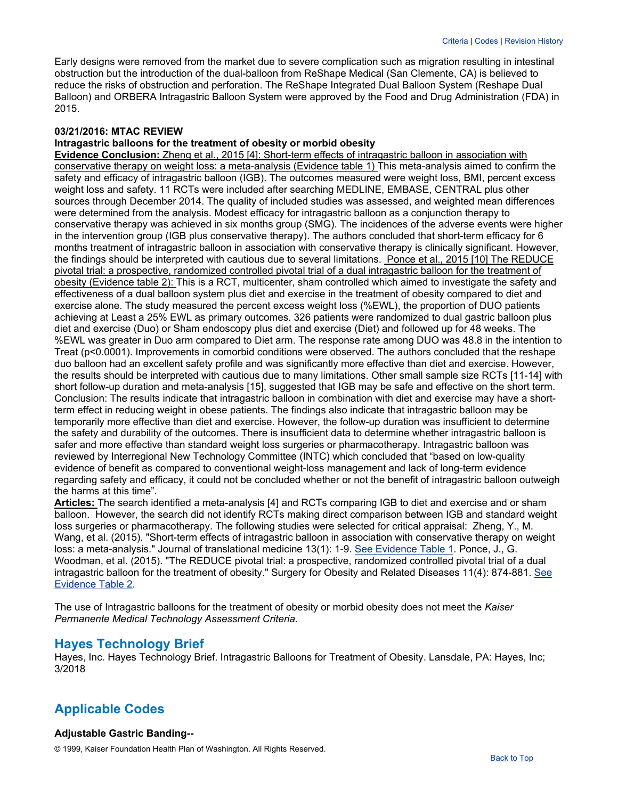Early designs were removed from the market due to severe complication such as migration resulting in intestinal obstruction but the introduction of the dual-balloon from ReShape Medical (San Clemente, CA) is believed to reduce the risks of obstruction and perforation. The ReShape Integrated Dual Balloon System (Reshape Dual Balloon) and ORBERA Intragastric Balloon System were approved by the Food and Drug Administration (FDA) in 2015.

#### **03/21/2016: MTAC REVIEW**

#### **Intragastric balloons for the treatment of obesity or morbid obesity**

**Evidence Conclusion:** Zheng et al., 2015 [4]: Short-term effects of intragastric balloon in association with conservative therapy on weight loss: a meta-analysis (Evidence table 1) This meta-analysis aimed to confirm the safety and efficacy of intragastric balloon (IGB). The outcomes measured were weight loss, BMI, percent excess weight loss and safety. 11 RCTs were included after searching MEDLINE, EMBASE, CENTRAL plus other sources through December 2014. The quality of included studies was assessed, and weighted mean differences were determined from the analysis. Modest efficacy for intragastric balloon as a conjunction therapy to conservative therapy was achieved in six months group (SMG). The incidences of the adverse events were higher in the intervention group (IGB plus conservative therapy). The authors concluded that short-term efficacy for 6 months treatment of intragastric balloon in association with conservative therapy is clinically significant. However, the findings should be interpreted with cautious due to several limitations. Ponce et al., 2015 [10] The REDUCE pivotal trial: a prospective, randomized controlled pivotal trial of a dual intragastric balloon for the treatment of obesity (Evidence table 2): This is a RCT, multicenter, sham controlled which aimed to investigate the safety and effectiveness of a dual balloon system plus diet and exercise in the treatment of obesity compared to diet and exercise alone. The study measured the percent excess weight loss (%EWL), the proportion of DUO patients achieving at Least a 25% EWL as primary outcomes. 326 patients were randomized to dual gastric balloon plus diet and exercise (Duo) or Sham endoscopy plus diet and exercise (Diet) and followed up for 48 weeks. The %EWL was greater in Duo arm compared to Diet arm. The response rate among DUO was 48.8 in the intention to Treat (p<0.0001). Improvements in comorbid conditions were observed. The authors concluded that the reshape duo balloon had an excellent safety profile and was significantly more effective than diet and exercise. However, the results should be interpreted with cautious due to many limitations. Other small sample size RCTs [11-14] with short follow-up duration and meta-analysis [15], suggested that IGB may be safe and effective on the short term. Conclusion: The results indicate that intragastric balloon in combination with diet and exercise may have a shortterm effect in reducing weight in obese patients. The findings also indicate that intragastric balloon may be temporarily more effective than diet and exercise. However, the follow-up duration was insufficient to determine the safety and durability of the outcomes. There is insufficient data to determine whether intragastric balloon is safer and more effective than standard weight loss surgeries or pharmacotherapy. Intragastric balloon was reviewed by Interregional New Technology Committee (INTC) which concluded that "based on low-quality evidence of benefit as compared to conventional weight-loss management and lack of long-term evidence regarding safety and efficacy, it could not be concluded whether or not the benefit of intragastric balloon outweigh the harms at this time".

**Articles:** The search identified a meta-analysis [4] and RCTs comparing IGB to diet and exercise and or sham balloon. However, the search did not identify RCTs making direct comparison between IGB and standard weight loss surgeries or pharmacotherapy. The following studies were selected for critical appraisal: Zheng, Y., M. Wang, et al. (2015). "Short-term effects of intragastric balloon in association with conservative therapy on weight loss: a meta-analysis." Journal of translational medicine 13(1): 1-9. [See Evidence Table 1.](http://www.ghc.org/public/hosting/clinical/criteria/pdf/gastricballoons1.pdf) Ponce, J., G. Woodman, et al. (2015). "The REDUCE pivotal trial: a prospective, randomized controlled pivotal trial of a dual intragastric balloon for the treatment of obesity." Surgery for Obesity and Related Diseases 11(4): 874-881. [See](http://www.ghc.org/public/hosting/clinical/criteria/pdf/gastricballoons2.pdf)  [Evidence Table 2.](http://www.ghc.org/public/hosting/clinical/criteria/pdf/gastricballoons2.pdf)

The use of Intragastric balloons for the treatment of obesity or morbid obesity does not meet the *Kaiser Permanente Medical Technology Assessment Criteria.*

# **Hayes Technology Brief**

Hayes, Inc. Hayes Technology Brief. Intragastric Balloons for Treatment of Obesity. Lansdale, PA: Hayes, Inc; 3/2018

# **Applicable Codes**

## **Adjustable Gastric Banding--**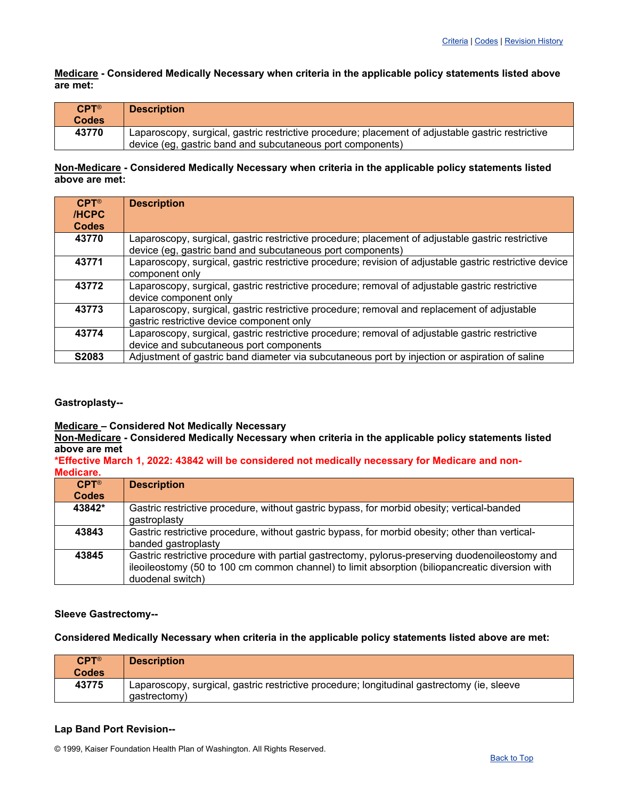**Medicare - Considered Medically Necessary when criteria in the applicable policy statements listed above are met:**

| $CPT^{\circledR}$ | <b>Description</b>                                                                                |
|-------------------|---------------------------------------------------------------------------------------------------|
| <b>Codes</b>      |                                                                                                   |
| 43770             | Laparoscopy, surgical, gastric restrictive procedure; placement of adjustable gastric restrictive |
|                   | device (eg. gastric band and subcutaneous port components)                                        |

## **Non-Medicare - Considered Medically Necessary when criteria in the applicable policy statements listed above are met:**

| $CPT^{\circledR}$<br><b>/HCPC</b><br><b>Codes</b> | <b>Description</b>                                                                                                                                              |
|---------------------------------------------------|-----------------------------------------------------------------------------------------------------------------------------------------------------------------|
| 43770                                             | Laparoscopy, surgical, gastric restrictive procedure; placement of adjustable gastric restrictive<br>device (eg, gastric band and subcutaneous port components) |
| 43771                                             | Laparoscopy, surgical, gastric restrictive procedure; revision of adjustable gastric restrictive device<br>component only                                       |
| 43772                                             | Laparoscopy, surgical, gastric restrictive procedure; removal of adjustable gastric restrictive<br>device component only                                        |
| 43773                                             | Laparoscopy, surgical, gastric restrictive procedure; removal and replacement of adjustable<br>gastric restrictive device component only                        |
| 43774                                             | Laparoscopy, surgical, gastric restrictive procedure; removal of adjustable gastric restrictive<br>device and subcutaneous port components                      |
| S2083                                             | Adjustment of gastric band diameter via subcutaneous port by injection or aspiration of saline                                                                  |

## **Gastroplasty--**

# **Medicare – Considered Not Medically Necessary**

**Non-Medicare - Considered Medically Necessary when criteria in the applicable policy statements listed above are met**

#### **\*Effective March 1, 2022: 43842 will be considered not medically necessary for Medicare and non-Medicare.**

| $CPT^{\circledR}$ | <b>Description</b>                                                                                                                                                                                                     |
|-------------------|------------------------------------------------------------------------------------------------------------------------------------------------------------------------------------------------------------------------|
| <b>Codes</b>      |                                                                                                                                                                                                                        |
| 43842*            | Gastric restrictive procedure, without gastric bypass, for morbid obesity; vertical-banded<br>gastroplasty                                                                                                             |
| 43843             | Gastric restrictive procedure, without gastric bypass, for morbid obesity; other than vertical-<br>banded gastroplasty                                                                                                 |
| 43845             | Gastric restrictive procedure with partial gastrectomy, pylorus-preserving duodenoileostomy and<br>ileoileostomy (50 to 100 cm common channel) to limit absorption (biliopancreatic diversion with<br>duodenal switch) |

## **Sleeve Gastrectomy--**

#### **Considered Medically Necessary when criteria in the applicable policy statements listed above are met:**

| $CPT^{\circledR}$<br><b>Codes</b> | <b>Description</b>                                                                                         |
|-----------------------------------|------------------------------------------------------------------------------------------------------------|
| 43775                             | Laparoscopy, surgical, gastric restrictive procedure; longitudinal gastrectomy (ie, sleeve<br>qastrectomy) |

## **Lap Band Port Revision--**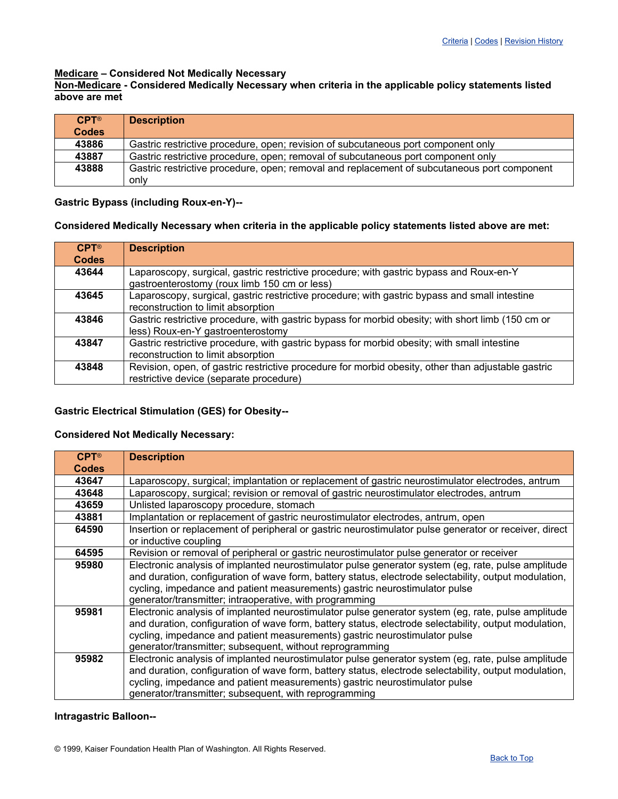#### **Medicare – Considered Not Medically Necessary**

**Non-Medicare - Considered Medically Necessary when criteria in the applicable policy statements listed above are met**

| $CPT^{\circledR}$<br><b>Codes</b> | <b>Description</b>                                                                                  |
|-----------------------------------|-----------------------------------------------------------------------------------------------------|
| 43886                             | Gastric restrictive procedure, open; revision of subcutaneous port component only                   |
| 43887                             | Gastric restrictive procedure, open; removal of subcutaneous port component only                    |
| 43888                             | Gastric restrictive procedure, open; removal and replacement of subcutaneous port component<br>only |

## **Gastric Bypass (including Roux-en-Y)--**

#### **Considered Medically Necessary when criteria in the applicable policy statements listed above are met:**

| $CPT^{\circledR}$<br><b>Codes</b> | <b>Description</b>                                                                                                                            |
|-----------------------------------|-----------------------------------------------------------------------------------------------------------------------------------------------|
| 43644                             | Laparoscopy, surgical, gastric restrictive procedure; with gastric bypass and Roux-en-Y<br>gastroenterostomy (roux limb 150 cm or less)       |
| 43645                             | Laparoscopy, surgical, gastric restrictive procedure; with gastric bypass and small intestine<br>reconstruction to limit absorption           |
| 43846                             | Gastric restrictive procedure, with gastric bypass for morbid obesity; with short limb (150 cm or<br>less) Roux-en-Y gastroenterostomy        |
| 43847                             | Gastric restrictive procedure, with gastric bypass for morbid obesity; with small intestine<br>reconstruction to limit absorption             |
| 43848                             | Revision, open, of gastric restrictive procedure for morbid obesity, other than adjustable gastric<br>restrictive device (separate procedure) |

## **Gastric Electrical Stimulation (GES) for Obesity--**

## **Considered Not Medically Necessary:**

| $CPT^{\circledR}$ | <b>Description</b>                                                                                    |
|-------------------|-------------------------------------------------------------------------------------------------------|
| <b>Codes</b>      |                                                                                                       |
| 43647             | Laparoscopy, surgical; implantation or replacement of gastric neurostimulator electrodes, antrum      |
| 43648             | Laparoscopy, surgical; revision or removal of gastric neurostimulator electrodes, antrum              |
| 43659             | Unlisted laparoscopy procedure, stomach                                                               |
| 43881             | Implantation or replacement of gastric neurostimulator electrodes, antrum, open                       |
| 64590             | Insertion or replacement of peripheral or gastric neurostimulator pulse generator or receiver, direct |
|                   | or inductive coupling                                                                                 |
| 64595             | Revision or removal of peripheral or gastric neurostimulator pulse generator or receiver              |
| 95980             | Electronic analysis of implanted neurostimulator pulse generator system (eg, rate, pulse amplitude    |
|                   | and duration, configuration of wave form, battery status, electrode selectability, output modulation, |
|                   | cycling, impedance and patient measurements) gastric neurostimulator pulse                            |
|                   | generator/transmitter; intraoperative, with programming                                               |
| 95981             | Electronic analysis of implanted neurostimulator pulse generator system (eg, rate, pulse amplitude    |
|                   | and duration, configuration of wave form, battery status, electrode selectability, output modulation, |
|                   | cycling, impedance and patient measurements) gastric neurostimulator pulse                            |
|                   | generator/transmitter; subsequent, without reprogramming                                              |
| 95982             | Electronic analysis of implanted neurostimulator pulse generator system (eg, rate, pulse amplitude    |
|                   | and duration, configuration of wave form, battery status, electrode selectability, output modulation, |
|                   | cycling, impedance and patient measurements) gastric neurostimulator pulse                            |
|                   | generator/transmitter; subsequent, with reprogramming                                                 |

#### **Intragastric Balloon--**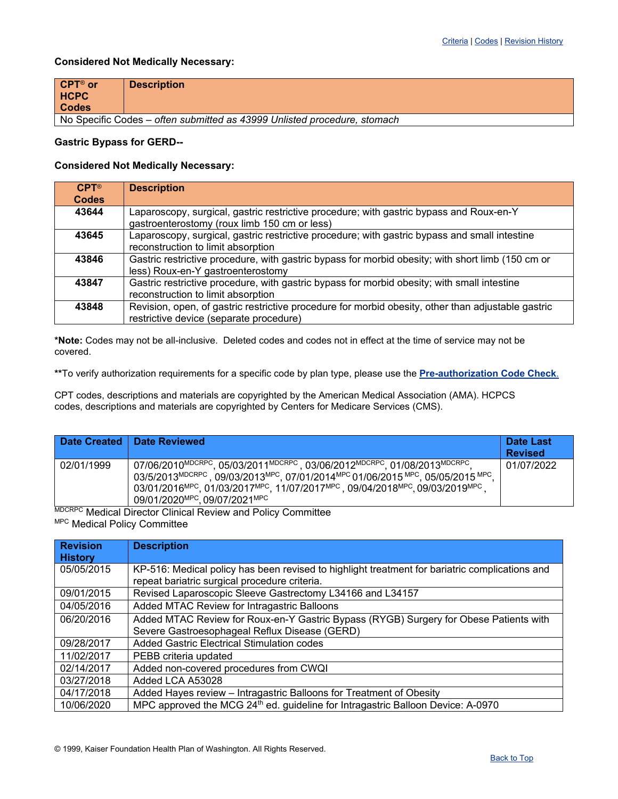## **Considered Not Medically Necessary:**

| CPT® or                                                                  | <b>Description</b> |
|--------------------------------------------------------------------------|--------------------|
| <b>HCPC</b>                                                              |                    |
| <b>Codes</b>                                                             |                    |
| No Specific Codes – often submitted as 43999 Unlisted procedure, stomach |                    |

#### **Gastric Bypass for GERD--**

## **Considered Not Medically Necessary:**

| $CPT^{\circledR}$<br><b>Codes</b> | <b>Description</b>                                                                                                                            |
|-----------------------------------|-----------------------------------------------------------------------------------------------------------------------------------------------|
| 43644                             | Laparoscopy, surgical, gastric restrictive procedure; with gastric bypass and Roux-en-Y<br>gastroenterostomy (roux limb 150 cm or less)       |
| 43645                             | Laparoscopy, surgical, gastric restrictive procedure; with gastric bypass and small intestine<br>reconstruction to limit absorption           |
| 43846                             | Gastric restrictive procedure, with gastric bypass for morbid obesity; with short limb (150 cm or<br>less) Roux-en-Y gastroenterostomy        |
| 43847                             | Gastric restrictive procedure, with gastric bypass for morbid obesity; with small intestine<br>reconstruction to limit absorption             |
| 43848                             | Revision, open, of gastric restrictive procedure for morbid obesity, other than adjustable gastric<br>restrictive device (separate procedure) |

**\*Note:** Codes may not be all-inclusive. Deleted codes and codes not in effect at the time of service may not be covered.

**\*\***To verify authorization requirements for a specific code by plan type, please use the **[Pre-authorization Code Check](https://wa-provider.kaiserpermanente.org/home/pre-auth/search)**.

CPT codes, descriptions and materials are copyrighted by the American Medical Association (AMA). HCPCS codes, descriptions and materials are copyrighted by Centers for Medicare Services (CMS).

|            | Date Created   Date Reviewed                                                                                                                                                                                                                                                                                                                                                                                       | Date Last<br><b>Revised</b> |
|------------|--------------------------------------------------------------------------------------------------------------------------------------------------------------------------------------------------------------------------------------------------------------------------------------------------------------------------------------------------------------------------------------------------------------------|-----------------------------|
| 02/01/1999 | 07/06/2010 <sup>MDCRPC</sup> , 05/03/2011 <sup>MDCRPC</sup> , 03/06/2012 <sup>MDCRPC</sup> , 01/08/2013 <sup>MDCRPC</sup> ,<br>03/5/2013MDCRPC, 09/03/2013MPC, 07/01/2014MPC 01/06/2015 MPC, 05/05/2015 MPC,<br>03/01/2016 <sup>MPC</sup> , 01/03/2017 <sup>MPC</sup> , 11/07/2017 <sup>MPC</sup> , 09/04/2018 <sup>MPC</sup> , 09/03/2019 <sup>MPC</sup><br>09/01/2020 <sup>MPC</sup> , 09/07/2021 <sup>MPC</sup> | 01/07/2022                  |

**MDCRPC Medical Director Clinical Review and Policy Committee** MPC Medical Policy Committee

<span id="page-17-0"></span>

| <b>Revision</b><br><b>History</b> | <b>Description</b>                                                                                                                              |
|-----------------------------------|-------------------------------------------------------------------------------------------------------------------------------------------------|
| 05/05/2015                        | KP-516: Medical policy has been revised to highlight treatment for bariatric complications and<br>repeat bariatric surgical procedure criteria. |
| 09/01/2015                        | Revised Laparoscopic Sleeve Gastrectomy L34166 and L34157                                                                                       |
| 04/05/2016                        | Added MTAC Review for Intragastric Balloons                                                                                                     |
| 06/20/2016                        | Added MTAC Review for Roux-en-Y Gastric Bypass (RYGB) Surgery for Obese Patients with                                                           |
|                                   | Severe Gastroesophageal Reflux Disease (GERD)                                                                                                   |
| 09/28/2017                        | Added Gastric Electrical Stimulation codes                                                                                                      |
| 11/02/2017                        | PEBB criteria updated                                                                                                                           |
| 02/14/2017                        | Added non-covered procedures from CWQI                                                                                                          |
| 03/27/2018                        | Added LCA A53028                                                                                                                                |
| 04/17/2018                        | Added Hayes review - Intragastric Balloons for Treatment of Obesity                                                                             |
| 10/06/2020                        | MPC approved the MCG 24 <sup>th</sup> ed. guideline for Intragastric Balloon Device: A-0970                                                     |